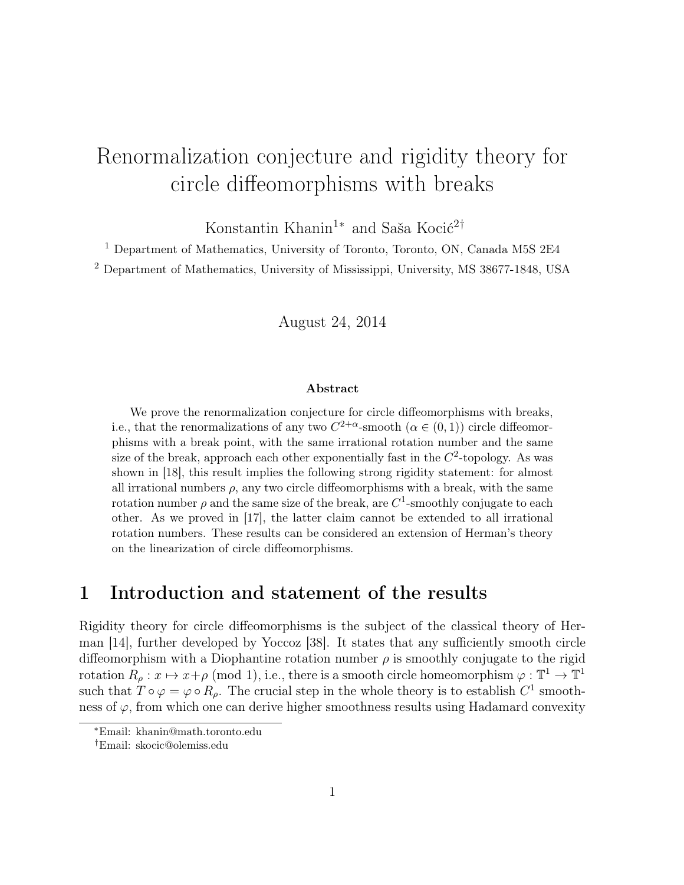# Renormalization conjecture and rigidity theory for circle diffeomorphisms with breaks

Konstantin Khanin<sup>1∗</sup> and Saša Kocić<sup>2†</sup>

<sup>1</sup> Department of Mathematics, University of Toronto, Toronto, ON, Canada M5S 2E4 <sup>2</sup> Department of Mathematics, University of Mississippi, University, MS 38677-1848, USA

August 24, 2014

#### Abstract

We prove the renormalization conjecture for circle diffeomorphisms with breaks, i.e., that the renormalizations of any two  $C^{2+\alpha}$ -smooth  $(\alpha \in (0,1))$  circle diffeomorphisms with a break point, with the same irrational rotation number and the same size of the break, approach each other exponentially fast in the  $C^2$ -topology. As was shown in [18], this result implies the following strong rigidity statement: for almost all irrational numbers  $\rho$ , any two circle diffeomorphisms with a break, with the same rotation number  $\rho$  and the same size of the break, are  $C^1$ -smoothly conjugate to each other. As we proved in [17], the latter claim cannot be extended to all irrational rotation numbers. These results can be considered an extension of Herman's theory on the linearization of circle diffeomorphisms.

### 1 Introduction and statement of the results

Rigidity theory for circle diffeomorphisms is the subject of the classical theory of Herman [14], further developed by Yoccoz [38]. It states that any sufficiently smooth circle diffeomorphism with a Diophantine rotation number  $\rho$  is smoothly conjugate to the rigid rotation  $R_\rho: x \mapsto x + \rho \pmod{1}$ , i.e., there is a smooth circle homeomorphism  $\varphi: \mathbb{T}^1 \to \mathbb{T}^1$ such that  $T \circ \varphi = \varphi \circ R_{\rho}$ . The crucial step in the whole theory is to establish  $C^1$  smoothness of  $\varphi$ , from which one can derive higher smoothness results using Hadamard convexity

<sup>∗</sup>Email: khanin@math.toronto.edu

<sup>†</sup>Email: skocic@olemiss.edu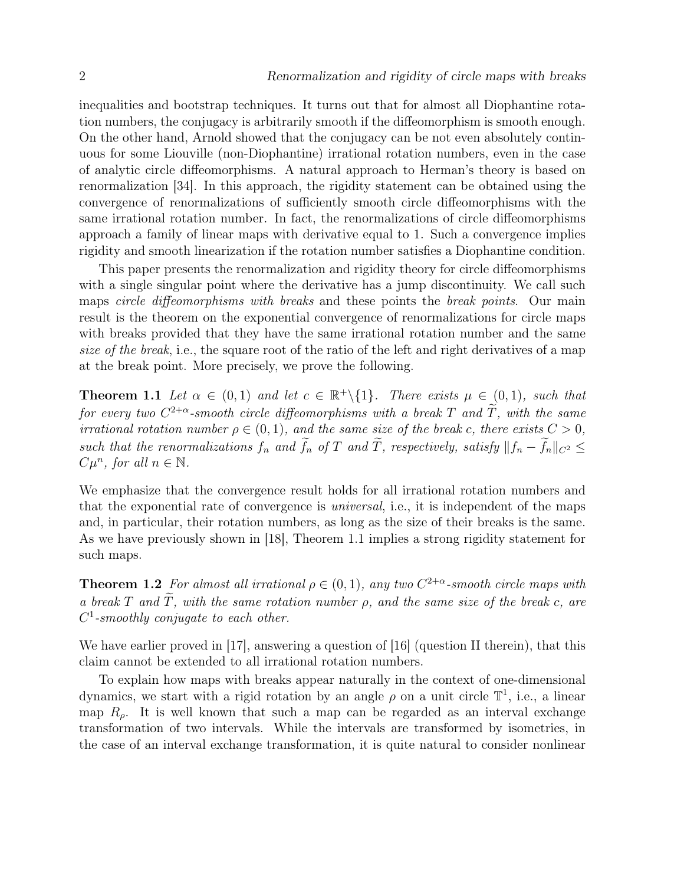inequalities and bootstrap techniques. It turns out that for almost all Diophantine rotation numbers, the conjugacy is arbitrarily smooth if the diffeomorphism is smooth enough. On the other hand, Arnold showed that the conjugacy can be not even absolutely continuous for some Liouville (non-Diophantine) irrational rotation numbers, even in the case of analytic circle diffeomorphisms. A natural approach to Herman's theory is based on renormalization [34]. In this approach, the rigidity statement can be obtained using the convergence of renormalizations of sufficiently smooth circle diffeomorphisms with the same irrational rotation number. In fact, the renormalizations of circle diffeomorphisms approach a family of linear maps with derivative equal to 1. Such a convergence implies rigidity and smooth linearization if the rotation number satisfies a Diophantine condition.

This paper presents the renormalization and rigidity theory for circle diffeomorphisms with a single singular point where the derivative has a jump discontinuity. We call such maps circle diffeomorphisms with breaks and these points the break points. Our main result is the theorem on the exponential convergence of renormalizations for circle maps with breaks provided that they have the same irrational rotation number and the same size of the break, i.e., the square root of the ratio of the left and right derivatives of a map at the break point. More precisely, we prove the following.

**Theorem 1.1** Let  $\alpha \in (0,1)$  and let  $c \in \mathbb{R}^+\backslash \{1\}$ . There exists  $\mu \in (0,1)$ , such that for every two  $C^{2+\alpha}$ -smooth circle diffeomorphisms with a break T and T, with the same irrational rotation number  $\rho \in (0,1)$ , and the same size of the break c, there exists  $C > 0$ , such that the renormalizations  $f_n$  and  $\widetilde{f}_n$  of T and  $\widetilde{T}$ , respectively, satisfy  $||f_n - \widetilde{f}_n||_{C^2} \le$  $C\mu^n$ , for all  $n \in \mathbb{N}$ .

We emphasize that the convergence result holds for all irrational rotation numbers and that the exponential rate of convergence is universal, i.e., it is independent of the maps and, in particular, their rotation numbers, as long as the size of their breaks is the same. As we have previously shown in [18], Theorem 1.1 implies a strong rigidity statement for such maps.

**Theorem 1.2** For almost all irrational  $\rho \in (0,1)$ , any two  $C^{2+\alpha}$ -smooth circle maps with a break T and  $\widetilde{T}$ , with the same rotation number  $\rho$ , and the same size of the break c, are  $C^1$ -smoothly conjugate to each other.

We have earlier proved in [17], answering a question of [16] (question II therein), that this claim cannot be extended to all irrational rotation numbers.

To explain how maps with breaks appear naturally in the context of one-dimensional dynamics, we start with a rigid rotation by an angle  $\rho$  on a unit circle  $\mathbb{T}^1$ , i.e., a linear map  $R_{\rho}$ . It is well known that such a map can be regarded as an interval exchange transformation of two intervals. While the intervals are transformed by isometries, in the case of an interval exchange transformation, it is quite natural to consider nonlinear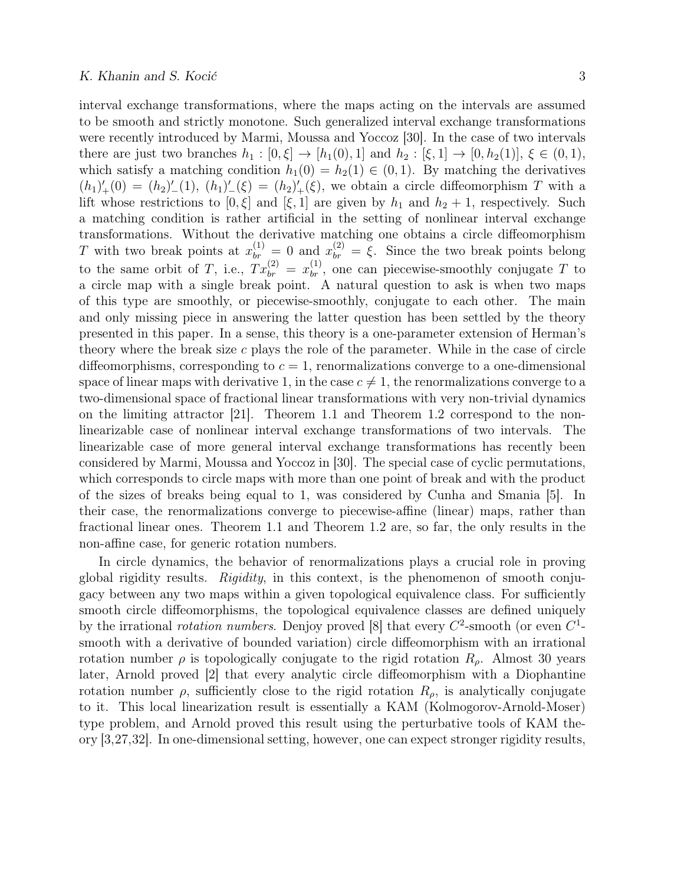interval exchange transformations, where the maps acting on the intervals are assumed to be smooth and strictly monotone. Such generalized interval exchange transformations were recently introduced by Marmi, Moussa and Yoccoz [30]. In the case of two intervals there are just two branches  $h_1 : [0, \xi] \to [h_1(0), 1]$  and  $h_2 : [\xi, 1] \to [0, h_2(1)]$ ,  $\xi \in (0, 1)$ , which satisfy a matching condition  $h_1(0) = h_2(1) \in (0,1)$ . By matching the derivatives  $(h_1)'_+(0) = (h_2)'_-(1), (h_1)'_-(\xi) = (h_2)'_+(\xi)$ , we obtain a circle diffeomorphism T with a lift whose restrictions to  $[0, \xi]$  and  $[\xi, 1]$  are given by  $h_1$  and  $h_2 + 1$ , respectively. Such a matching condition is rather artificial in the setting of nonlinear interval exchange transformations. Without the derivative matching one obtains a circle diffeomorphism T with two break points at  $x_{br}^{(1)} = 0$  and  $x_{br}^{(2)} = \xi$ . Since the two break points belong to the same orbit of T, i.e.,  $Tx_{br}^{(2)} = x_{br}^{(1)}$ , one can piecewise-smoothly conjugate T to a circle map with a single break point. A natural question to ask is when two maps of this type are smoothly, or piecewise-smoothly, conjugate to each other. The main and only missing piece in answering the latter question has been settled by the theory presented in this paper. In a sense, this theory is a one-parameter extension of Herman's theory where the break size  $c$  plays the role of the parameter. While in the case of circle diffeomorphisms, corresponding to  $c = 1$ , renormalizations converge to a one-dimensional space of linear maps with derivative 1, in the case  $c \neq 1$ , the renormalizations converge to a two-dimensional space of fractional linear transformations with very non-trivial dynamics on the limiting attractor [21]. Theorem 1.1 and Theorem 1.2 correspond to the nonlinearizable case of nonlinear interval exchange transformations of two intervals. The linearizable case of more general interval exchange transformations has recently been considered by Marmi, Moussa and Yoccoz in [30]. The special case of cyclic permutations, which corresponds to circle maps with more than one point of break and with the product of the sizes of breaks being equal to 1, was considered by Cunha and Smania [5]. In their case, the renormalizations converge to piecewise-affine (linear) maps, rather than fractional linear ones. Theorem 1.1 and Theorem 1.2 are, so far, the only results in the non-affine case, for generic rotation numbers.

In circle dynamics, the behavior of renormalizations plays a crucial role in proving global rigidity results. Rigidity, in this context, is the phenomenon of smooth conjugacy between any two maps within a given topological equivalence class. For sufficiently smooth circle diffeomorphisms, the topological equivalence classes are defined uniquely by the irrational *rotation numbers*. Denjoy proved [8] that every  $C^2$ -smooth (or even  $C^1$ smooth with a derivative of bounded variation) circle diffeomorphism with an irrational rotation number  $\rho$  is topologically conjugate to the rigid rotation  $R_{\rho}$ . Almost 30 years later, Arnold proved [2] that every analytic circle diffeomorphism with a Diophantine rotation number  $\rho$ , sufficiently close to the rigid rotation  $R_{\rho}$ , is analytically conjugate to it. This local linearization result is essentially a KAM (Kolmogorov-Arnold-Moser) type problem, and Arnold proved this result using the perturbative tools of KAM theory [3,27,32]. In one-dimensional setting, however, one can expect stronger rigidity results,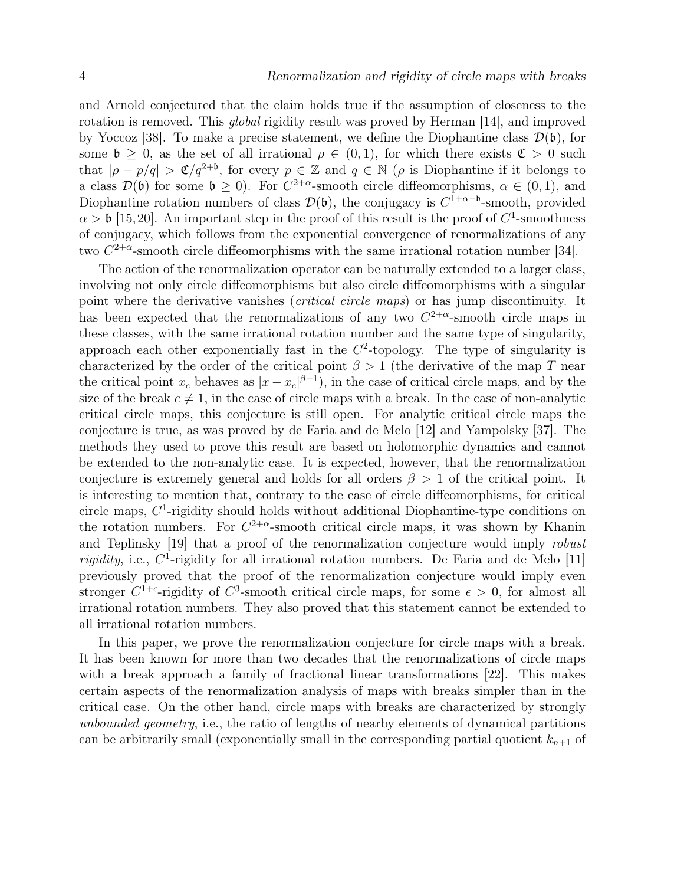and Arnold conjectured that the claim holds true if the assumption of closeness to the rotation is removed. This global rigidity result was proved by Herman [14], and improved by Yoccoz [38]. To make a precise statement, we define the Diophantine class  $\mathcal{D}(\mathfrak{b})$ , for some  $\mathfrak{b} \geq 0$ , as the set of all irrational  $\rho \in (0,1)$ , for which there exists  $\mathfrak{C} > 0$  such that  $|\rho - p/q| > \mathfrak{C}/q^{2+\mathfrak{b}}$ , for every  $p \in \mathbb{Z}$  and  $q \in \mathbb{N}$  ( $\rho$  is Diophantine if it belongs to a class  $\mathcal{D}(\mathfrak{b})$  for some  $\mathfrak{b} \geq 0$ . For  $C^{2+\alpha}$ -smooth circle diffeomorphisms,  $\alpha \in (0,1)$ , and Diophantine rotation numbers of class  $\mathcal{D}(\mathfrak{b})$ , the conjugacy is  $C^{1+\alpha-\mathfrak{b}}$ -smooth, provided  $\alpha > \mathfrak{b}$  [15,20]. An important step in the proof of this result is the proof of  $C^1$ -smoothness of conjugacy, which follows from the exponential convergence of renormalizations of any two  $C^{2+\alpha}$ -smooth circle diffeomorphisms with the same irrational rotation number [34].

The action of the renormalization operator can be naturally extended to a larger class, involving not only circle diffeomorphisms but also circle diffeomorphisms with a singular point where the derivative vanishes (*critical circle maps*) or has jump discontinuity. It has been expected that the renormalizations of any two  $C^{2+\alpha}$ -smooth circle maps in these classes, with the same irrational rotation number and the same type of singularity, approach each other exponentially fast in the  $C^2$ -topology. The type of singularity is characterized by the order of the critical point  $\beta > 1$  (the derivative of the map T near the critical point  $x_c$  behaves as  $|x-x_c|^{\beta-1}$ , in the case of critical circle maps, and by the size of the break  $c \neq 1$ , in the case of circle maps with a break. In the case of non-analytic critical circle maps, this conjecture is still open. For analytic critical circle maps the conjecture is true, as was proved by de Faria and de Melo [12] and Yampolsky [37]. The methods they used to prove this result are based on holomorphic dynamics and cannot be extended to the non-analytic case. It is expected, however, that the renormalization conjecture is extremely general and holds for all orders  $\beta > 1$  of the critical point. It is interesting to mention that, contrary to the case of circle diffeomorphisms, for critical circle maps,  $C<sup>1</sup>$ -rigidity should holds without additional Diophantine-type conditions on the rotation numbers. For  $C^{2+\alpha}$ -smooth critical circle maps, it was shown by Khanin and Teplinsky [19] that a proof of the renormalization conjecture would imply robust *rigidity*, i.e.,  $C^1$ -rigidity for all irrational rotation numbers. De Faria and de Melo [11] previously proved that the proof of the renormalization conjecture would imply even stronger  $C^{1+\epsilon}$ -rigidity of  $C^3$ -smooth critical circle maps, for some  $\epsilon > 0$ , for almost all irrational rotation numbers. They also proved that this statement cannot be extended to all irrational rotation numbers.

In this paper, we prove the renormalization conjecture for circle maps with a break. It has been known for more than two decades that the renormalizations of circle maps with a break approach a family of fractional linear transformations [22]. This makes certain aspects of the renormalization analysis of maps with breaks simpler than in the critical case. On the other hand, circle maps with breaks are characterized by strongly unbounded geometry, i.e., the ratio of lengths of nearby elements of dynamical partitions can be arbitrarily small (exponentially small in the corresponding partial quotient  $k_{n+1}$  of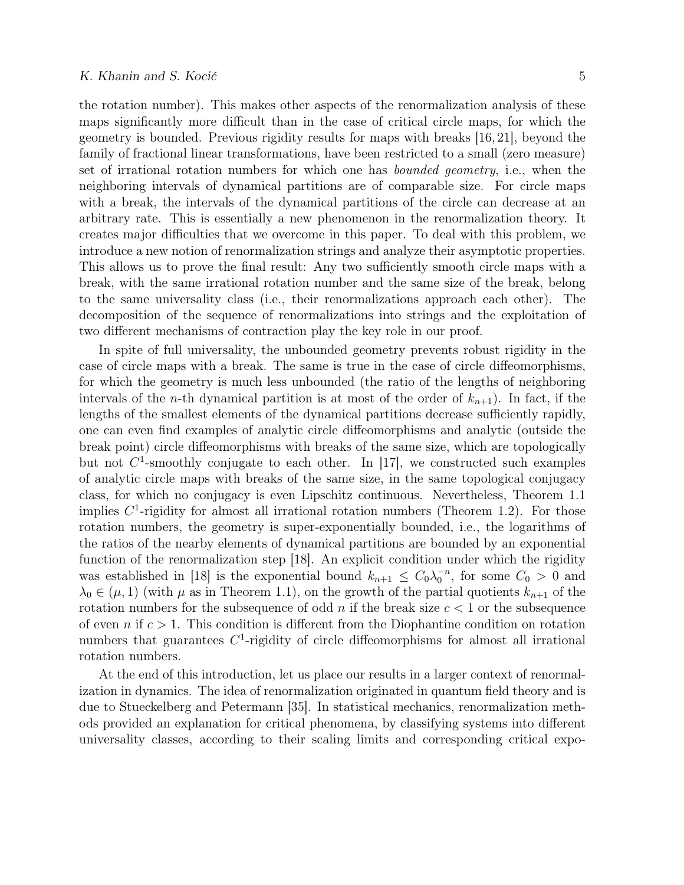the rotation number). This makes other aspects of the renormalization analysis of these maps significantly more difficult than in the case of critical circle maps, for which the geometry is bounded. Previous rigidity results for maps with breaks [16, 21], beyond the family of fractional linear transformations, have been restricted to a small (zero measure) set of irrational rotation numbers for which one has bounded geometry, i.e., when the neighboring intervals of dynamical partitions are of comparable size. For circle maps with a break, the intervals of the dynamical partitions of the circle can decrease at an arbitrary rate. This is essentially a new phenomenon in the renormalization theory. It creates major difficulties that we overcome in this paper. To deal with this problem, we introduce a new notion of renormalization strings and analyze their asymptotic properties. This allows us to prove the final result: Any two sufficiently smooth circle maps with a break, with the same irrational rotation number and the same size of the break, belong to the same universality class (i.e., their renormalizations approach each other). The decomposition of the sequence of renormalizations into strings and the exploitation of two different mechanisms of contraction play the key role in our proof.

In spite of full universality, the unbounded geometry prevents robust rigidity in the case of circle maps with a break. The same is true in the case of circle diffeomorphisms, for which the geometry is much less unbounded (the ratio of the lengths of neighboring intervals of the *n*-th dynamical partition is at most of the order of  $k_{n+1}$ ). In fact, if the lengths of the smallest elements of the dynamical partitions decrease sufficiently rapidly, one can even find examples of analytic circle diffeomorphisms and analytic (outside the break point) circle diffeomorphisms with breaks of the same size, which are topologically but not  $C^1$ -smoothly conjugate to each other. In [17], we constructed such examples of analytic circle maps with breaks of the same size, in the same topological conjugacy class, for which no conjugacy is even Lipschitz continuous. Nevertheless, Theorem 1.1 implies  $C<sup>1</sup>$ -rigidity for almost all irrational rotation numbers (Theorem 1.2). For those rotation numbers, the geometry is super-exponentially bounded, i.e., the logarithms of the ratios of the nearby elements of dynamical partitions are bounded by an exponential function of the renormalization step [18]. An explicit condition under which the rigidity was established in [18] is the exponential bound  $k_{n+1} \leq C_0 \lambda_0^{-n}$ , for some  $C_0 > 0$  and  $\lambda_0 \in (\mu, 1)$  (with  $\mu$  as in Theorem 1.1), on the growth of the partial quotients  $k_{n+1}$  of the rotation numbers for the subsequence of odd n if the break size  $c < 1$  or the subsequence of even n if  $c > 1$ . This condition is different from the Diophantine condition on rotation numbers that guarantees  $C<sup>1</sup>$ -rigidity of circle diffeomorphisms for almost all irrational rotation numbers.

At the end of this introduction, let us place our results in a larger context of renormalization in dynamics. The idea of renormalization originated in quantum field theory and is due to Stueckelberg and Petermann [35]. In statistical mechanics, renormalization methods provided an explanation for critical phenomena, by classifying systems into different universality classes, according to their scaling limits and corresponding critical expo-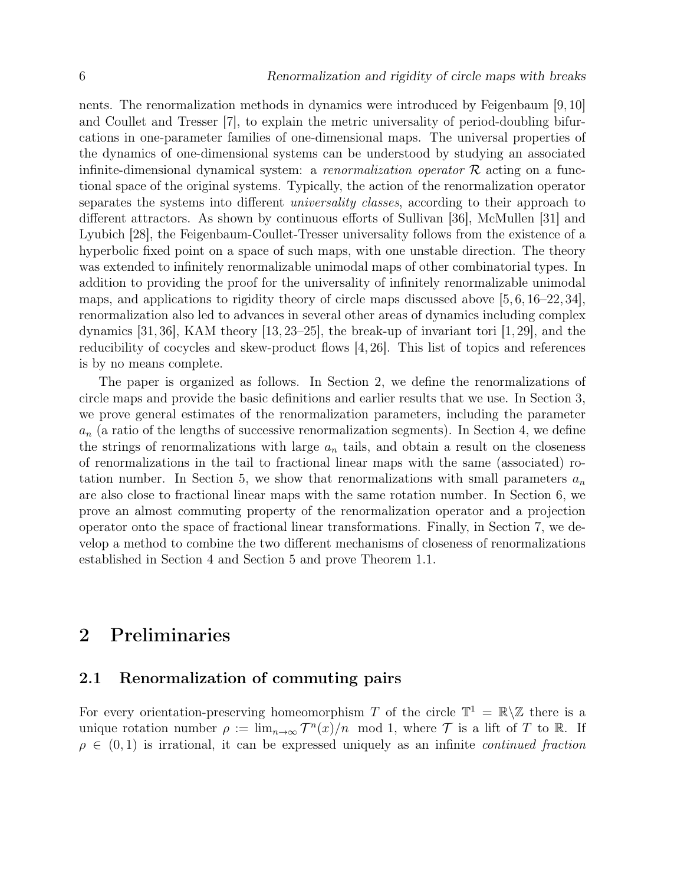nents. The renormalization methods in dynamics were introduced by Feigenbaum [9, 10] and Coullet and Tresser [7], to explain the metric universality of period-doubling bifurcations in one-parameter families of one-dimensional maps. The universal properties of the dynamics of one-dimensional systems can be understood by studying an associated infinite-dimensional dynamical system: a renormalization operator  $R$  acting on a functional space of the original systems. Typically, the action of the renormalization operator separates the systems into different *universality classes*, according to their approach to different attractors. As shown by continuous efforts of Sullivan [36], McMullen [31] and Lyubich [28], the Feigenbaum-Coullet-Tresser universality follows from the existence of a hyperbolic fixed point on a space of such maps, with one unstable direction. The theory was extended to infinitely renormalizable unimodal maps of other combinatorial types. In addition to providing the proof for the universality of infinitely renormalizable unimodal maps, and applications to rigidity theory of circle maps discussed above [5, 6, 16–22, 34], renormalization also led to advances in several other areas of dynamics including complex dynamics [31, 36], KAM theory [13, 23–25], the break-up of invariant tori [1, 29], and the reducibility of cocycles and skew-product flows [4, 26]. This list of topics and references is by no means complete.

The paper is organized as follows. In Section 2, we define the renormalizations of circle maps and provide the basic definitions and earlier results that we use. In Section 3, we prove general estimates of the renormalization parameters, including the parameter  $a_n$  (a ratio of the lengths of successive renormalization segments). In Section 4, we define the strings of renormalizations with large  $a_n$  tails, and obtain a result on the closeness of renormalizations in the tail to fractional linear maps with the same (associated) rotation number. In Section 5, we show that renormalizations with small parameters  $a_n$ are also close to fractional linear maps with the same rotation number. In Section 6, we prove an almost commuting property of the renormalization operator and a projection operator onto the space of fractional linear transformations. Finally, in Section 7, we develop a method to combine the two different mechanisms of closeness of renormalizations established in Section 4 and Section 5 and prove Theorem 1.1.

# 2 Preliminaries

### 2.1 Renormalization of commuting pairs

For every orientation-preserving homeomorphism T of the circle  $\mathbb{T}^1 = \mathbb{R} \setminus \mathbb{Z}$  there is a unique rotation number  $\rho := \lim_{n \to \infty} T^n(x)/n \mod 1$ , where T is a lift of T to R. If  $\rho \in (0,1)$  is irrational, it can be expressed uniquely as an infinite *continued fraction*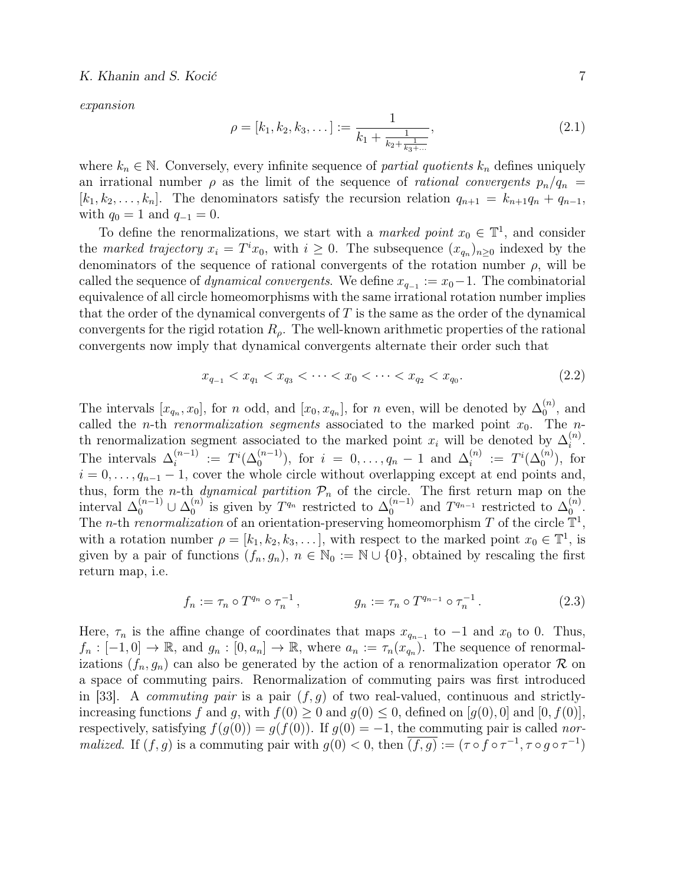expansion

$$
\rho = [k_1, k_2, k_3, \dots] := \frac{1}{k_1 + \frac{1}{k_2 + \frac{1}{k_3 + \dots}}},\tag{2.1}
$$

where  $k_n \in \mathbb{N}$ . Conversely, every infinite sequence of *partial quotients*  $k_n$  defines uniquely an irrational number  $\rho$  as the limit of the sequence of *rational convergents*  $p_n/q_n$  =  $[k_1, k_2, \ldots, k_n]$ . The denominators satisfy the recursion relation  $q_{n+1} = k_{n+1}q_n + q_{n-1}$ , with  $q_0 = 1$  and  $q_{-1} = 0$ .

To define the renormalizations, we start with a *marked point*  $x_0 \in \mathbb{T}^1$ , and consider the marked trajectory  $x_i = T^i x_0$ , with  $i \geq 0$ . The subsequence  $(x_{q_n})_{n \geq 0}$  indexed by the denominators of the sequence of rational convergents of the rotation number  $\rho$ , will be called the sequence of *dynamical convergents*. We define  $x_{q-1} := x_0 - 1$ . The combinatorial equivalence of all circle homeomorphisms with the same irrational rotation number implies that the order of the dynamical convergents of  $T$  is the same as the order of the dynamical convergents for the rigid rotation  $R_{\rho}$ . The well-known arithmetic properties of the rational convergents now imply that dynamical convergents alternate their order such that

$$
x_{q_{-1}} < x_{q_1} < x_{q_3} < \dots < x_0 < \dots < x_{q_2} < x_{q_0}.\tag{2.2}
$$

The intervals  $[x_{q_n}, x_0]$ , for n odd, and  $[x_0, x_{q_n}]$ , for n even, will be denoted by  $\Delta_0^{(n)}$  $\binom{n}{0}$ , and called the *n*-th *renormalization segments* associated to the marked point  $x_0$ . The *n*th renormalization segment associated to the marked point  $x_i$  will be denoted by  $\Delta_i^{(n)}$  $\binom{n}{i}$ . The intervals  $\Delta_i^{(n-1)}$  $i_i^{(n-1)} := T^i(\Delta_0^{(n-1)})$ , for  $i = 0, ..., q_n - 1$  and  $\Delta_i^{(n)}$  $i^{(n)}$  :=  $T^{i}(\Delta_0^{(n)})$ , for  $i = 0, \ldots, q_{n-1} - 1$ , cover the whole circle without overlapping except at end points and, thus, form the *n*-th *dynamical partition*  $P_n$  of the circle. The first return map on the interval  $\Delta_0^{(n-1)} \cup \Delta_0^{(n)}$  $\int_0^{(n)}$  is given by  $T^{q_n}$  restricted to  $\Delta_0^{(n-1)}$  $\int_0^{(n-1)}$  and  $T^{q_{n-1}}$  restricted to  $\Delta_0^{(n)}$  $\overset{(n)}{0}.$ The *n*-th renormalization of an orientation-preserving homeomorphism T of the circle  $\mathbb{T}^1$ , with a rotation number  $\rho = [k_1, k_2, k_3, \dots]$ , with respect to the marked point  $x_0 \in \mathbb{T}^1$ , is given by a pair of functions  $(f_n, g_n)$ ,  $n \in \mathbb{N}_0 := \mathbb{N} \cup \{0\}$ , obtained by rescaling the first return map, i.e.

$$
f_n := \tau_n \circ T^{q_n} \circ \tau_n^{-1}, \qquad \qquad g_n := \tau_n \circ T^{q_{n-1}} \circ \tau_n^{-1}.
$$
 (2.3)

Here,  $\tau_n$  is the affine change of coordinates that maps  $x_{q_{n-1}}$  to  $-1$  and  $x_0$  to 0. Thus,  $f_n: [-1,0] \to \mathbb{R}$ , and  $g_n: [0,a_n] \to \mathbb{R}$ , where  $a_n := \tau_n(x_{q_n}^n)$ . The sequence of renormalizations  $(f_n, g_n)$  can also be generated by the action of a renormalization operator R on a space of commuting pairs. Renormalization of commuting pairs was first introduced in [33]. A *commuting pair* is a pair  $(f, g)$  of two real-valued, continuous and strictlyincreasing functions f and g, with  $f(0) \ge 0$  and  $g(0) \le 0$ , defined on [ $g(0)$ , 0] and [0,  $f(0)$ ], respectively, satisfying  $f(g(0)) = g(f(0))$ . If  $g(0) = -1$ , the commuting pair is called nor*malized.* If  $(f, g)$  is a commuting pair with  $g(0) < 0$ , then  $\overline{(f, g)} := (\tau \circ f \circ \tau^{-1}, \tau \circ g \circ \tau^{-1})$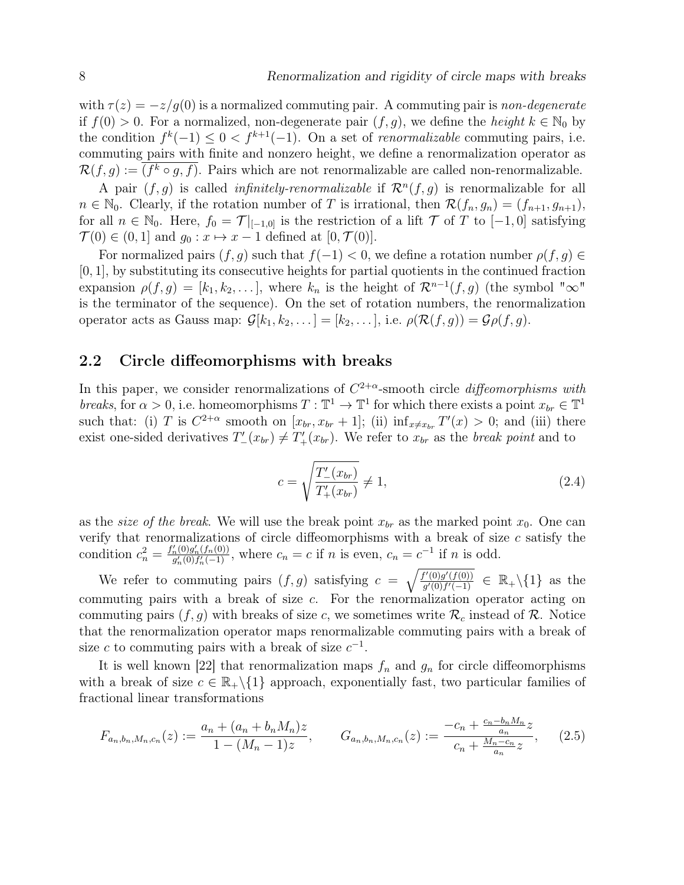with  $\tau(z) = -z/g(0)$  is a normalized commuting pair. A commuting pair is non-degenerate if  $f(0) > 0$ . For a normalized, non-degenerate pair  $(f, g)$ , we define the *height*  $k \in \mathbb{N}_0$  by the condition  $f^{k}(-1) \leq 0 < f^{k+1}(-1)$ . On a set of *renormalizable* commuting pairs, i.e. commuting pairs with finite and nonzero height, we define a renormalization operator as  $\mathcal{R}(f,g) := (f^k \circ g, f)$ . Pairs which are not renormalizable are called non-renormalizable.

A pair  $(f, g)$  is called *infinitely-renormalizable* if  $\mathcal{R}^n(f, g)$  is renormalizable for all  $n \in \mathbb{N}_0$ . Clearly, if the rotation number of T is irrational, then  $\mathcal{R}(f_n, g_n) = (f_{n+1}, g_{n+1}),$ for all  $n \in \mathbb{N}_0$ . Here,  $f_0 = \mathcal{T}|_{[-1,0]}$  is the restriction of a lift  $\mathcal T$  of T to  $[-1,0]$  satisfying  $\mathcal{T}(0) \in (0,1]$  and  $g_0: x \mapsto x-1$  defined at  $[0,\mathcal{T}(0)].$ 

For normalized pairs  $(f, g)$  such that  $f(-1) < 0$ , we define a rotation number  $\rho(f, g) \in$ [0, 1], by substituting its consecutive heights for partial quotients in the continued fraction expansion  $\rho(f,g) = [k_1, k_2, \dots]$ , where  $k_n$  is the height of  $\mathcal{R}^{n-1}(f,g)$  (the symbol " $\infty$ " is the terminator of the sequence). On the set of rotation numbers, the renormalization operator acts as Gauss map:  $\mathcal{G}[k_1, k_2, \ldots] = [k_2, \ldots],$  i.e.  $\rho(\mathcal{R}(f,g)) = \mathcal{G}\rho(f,g)$ .

#### 2.2 Circle diffeomorphisms with breaks

In this paper, we consider renormalizations of  $C^{2+\alpha}$ -smooth circle *diffeomorphisms with* breaks, for  $\alpha > 0$ , i.e. homeomorphisms  $T : \mathbb{T}^1 \to \mathbb{T}^1$  for which there exists a point  $x_{br} \in \mathbb{T}^1$ such that: (i) T is  $C^{2+\alpha}$  smooth on  $[x_{br}, x_{br} + 1]$ ; (ii)  $\inf_{x \neq x_{br}} T'(x) > 0$ ; and (iii) there exist one-sided derivatives  $T'_{-}(x_{br}) \neq T'_{+}(x_{br})$ . We refer to  $x_{br}$  as the *break point* and to

$$
c = \sqrt{\frac{T'_{-}(x_{br})}{T'_{+}(x_{br})}} \neq 1,
$$
\n(2.4)

n−bn

as the *size of the break*. We will use the break point  $x_{br}$  as the marked point  $x_0$ . One can verify that renormalizations of circle diffeomorphisms with a break of size  $c$  satisfy the condition  $c_n^2 = \frac{f'_n(0)g'_n(f_n(0))}{g'_n(0)f'_n(-1)}$  $\frac{\binom{n}{0}g'_n(f_n(0))}{g'_n(0)f'_n(-1)},$  where  $c_n = c$  if n is even,  $c_n = c^{-1}$  if n is odd.

We refer to commuting pairs  $(f, g)$  satisfying  $c = \sqrt{\frac{f'(0)g'(f(0))}{g'(0) f'(-1)}}$  $\frac{f'(0)g'(f(0))}{g'(0)f'(-1)} \in \mathbb{R}_+\backslash\{1\}$  as the commuting pairs with a break of size  $c$ . For the renormalization operator acting on commuting pairs  $(f, g)$  with breaks of size c, we sometimes write  $\mathcal{R}_c$  instead of  $\mathcal{R}$ . Notice that the renormalization operator maps renormalizable commuting pairs with a break of size c to commuting pairs with a break of size  $c^{-1}$ .

It is well known [22] that renormalization maps  $f_n$  and  $g_n$  for circle diffeomorphisms with a break of size  $c \in \mathbb{R}_+ \setminus \{1\}$  approach, exponentially fast, two particular families of fractional linear transformations

$$
F_{a_n,b_n,M_n,c_n}(z) := \frac{a_n + (a_n + b_n M_n)z}{1 - (M_n - 1)z}, \qquad G_{a_n,b_n,M_n,c_n}(z) := \frac{-c_n + \frac{c_n - b_n M_n}{a_n}z}{c_n + \frac{M_n - c_n}{a_n}z}, \qquad (2.5)
$$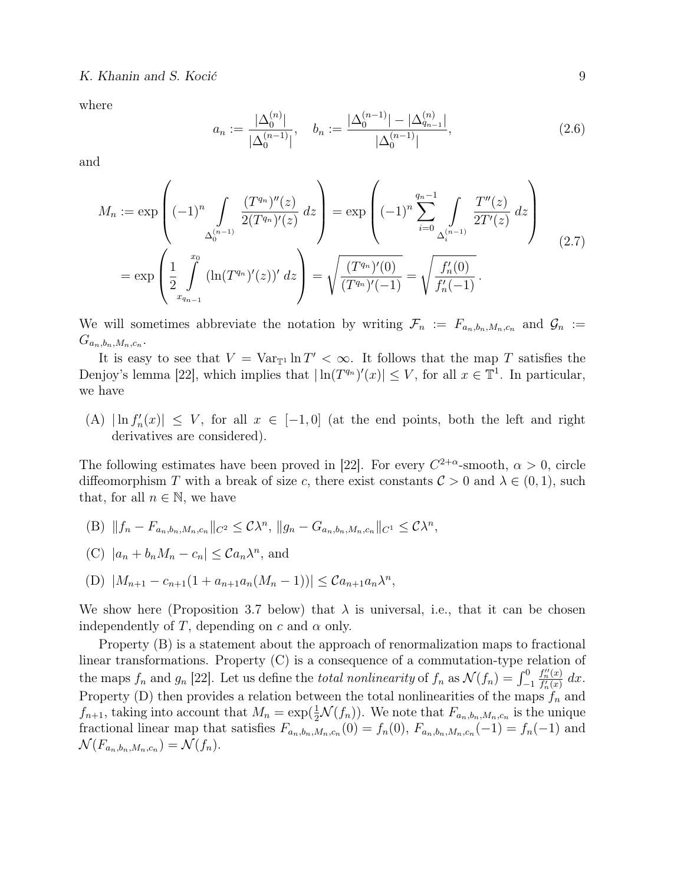where

$$
a_n := \frac{|\Delta_0^{(n)}|}{|\Delta_0^{(n-1)}|}, \quad b_n := \frac{|\Delta_0^{(n-1)}| - |\Delta_{q_{n-1}}^{(n)}|}{|\Delta_0^{(n-1)}|},
$$
\n(2.6)

and

$$
M_n := \exp\left((-1)^n \int_{\Delta_0^{(n-1)}} \frac{(T^{q_n})''(z)}{2(T^{q_n})'(z)} dz\right) = \exp\left((-1)^n \sum_{i=0}^{q_n-1} \int_{\Delta_i^{(n-1)}} \frac{T''(z)}{2T'(z)} dz\right)
$$
  
= 
$$
\exp\left(\frac{1}{2} \int_{x_{q_{n-1}}}^{x_0} (\ln(T^{q_n})'(z))' dz\right) = \sqrt{\frac{(T^{q_n})'(0)}{(T^{q_n})'(-1)}} = \sqrt{\frac{f'_n(0)}{f'_n(-1)}}.
$$
 (2.7)

We will sometimes abbreviate the notation by writing  $\mathcal{F}_n := F_{a_n,b_n,M_n,c_n}$  and  $\mathcal{G}_n :=$  $G_{a_n,b_n,M_n,c_n}.$ 

It is easy to see that  $V = Var_{\mathbb{T}^1} \ln T' < \infty$ . It follows that the map T satisfies the Denjoy's lemma [22], which implies that  $|\ln(T^{q_n})'(x)| \leq V$ , for all  $x \in \mathbb{T}^1$ . In particular, we have

(A)  $|\ln f'_n(x)| \leq V$ , for all  $x \in [-1,0]$  (at the end points, both the left and right derivatives are considered).

The following estimates have been proved in [22]. For every  $C^{2+\alpha}$ -smooth,  $\alpha > 0$ , circle diffeomorphism T with a break of size c, there exist constants  $C > 0$  and  $\lambda \in (0, 1)$ , such that, for all  $n \in \mathbb{N}$ , we have

- (B)  $||f_n F_{a_n, b_n, M_n, c_n}||_{C^2} \leq C\lambda^n$ ,  $||g_n G_{a_n, b_n, M_n, c_n}||_{C^1} \leq C\lambda^n$ ,
- (C)  $|a_n + b_n M_n c_n| \leq C a_n \lambda^n$ , and

(D) 
$$
|M_{n+1} - c_{n+1}(1 + a_{n+1}a_n(M_n - 1))| \leq C a_{n+1} a_n \lambda^n
$$
,

We show here (Proposition 3.7 below) that  $\lambda$  is universal, i.e., that it can be chosen independently of T, depending on c and  $\alpha$  only.

Property (B) is a statement about the approach of renormalization maps to fractional linear transformations. Property (C) is a consequence of a commutation-type relation of the maps  $f_n$  and  $g_n$  [22]. Let us define the *total nonlinearity* of  $f_n$  as  $\mathcal{N}(f_n) = \int_{-1}^{0}$  $f''_n(x)$  $\frac{f_n^{\prime\prime}(x)}{f_n^{\prime}(x)} dx$ . Property (D) then provides a relation between the total nonlinearities of the maps  $f_n$  and  $f_{n+1}$ , taking into account that  $M_n = \exp(\frac{1}{2}\mathcal{N}(f_n))$ . We note that  $F_{a_n,b_n,M_n,c_n}$  is the unique fractional linear map that satisfies  $F_{a_n,b_n,M_n,c_n}(0) = f_n(0)$ ,  $F_{a_n,b_n,M_n,c_n}(-1) = f_n(-1)$  and  $\mathcal{N}(F_{a_n,b_n,M_n,c_n})=\mathcal{N}(f_n).$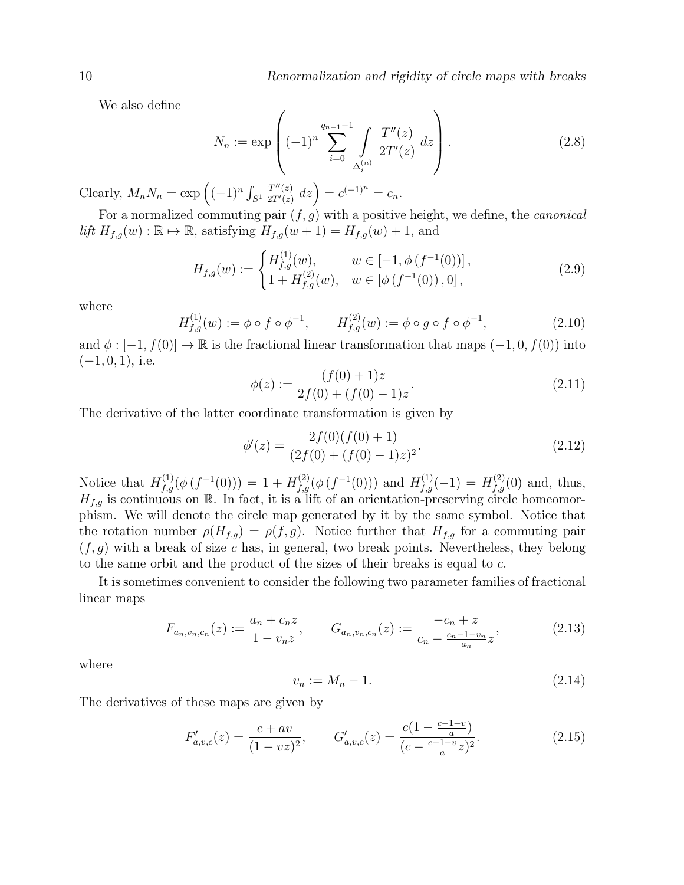We also define

$$
N_n := \exp\left( (-1)^n \sum_{i=0}^{q_{n-1}-1} \int\limits_{\Delta_i^{(n)}} \frac{T''(z)}{2T'(z)} \, dz \right). \tag{2.8}
$$

Clearly,  $M_n N_n = \exp \left( (-1)^n \int_{S^1}$  $T''(z)$  $\frac{T''(z)}{2T'(z)} dz$  =  $c^{(-1)^n} = c_n$ .

For a normalized commuting pair  $(f, g)$  with a positive height, we define, the *canonical* lift  $H_{f,g}(w) : \mathbb{R} \to \mathbb{R}$ , satisfying  $H_{f,g}(w + 1) = H_{f,g}(w) + 1$ , and

$$
H_{f,g}(w) := \begin{cases} H_{f,g}^{(1)}(w), & w \in [-1, \phi(f^{-1}(0))] \\ 1 + H_{f,g}^{(2)}(w), & w \in [\phi(f^{-1}(0)), 0], \end{cases}
$$
(2.9)

where

$$
H_{f,g}^{(1)}(w) := \phi \circ f \circ \phi^{-1}, \qquad H_{f,g}^{(2)}(w) := \phi \circ g \circ f \circ \phi^{-1}, \tag{2.10}
$$

and  $\phi : [-1, f(0)] \to \mathbb{R}$  is the fractional linear transformation that maps  $(-1, 0, f(0))$  into  $(-1, 0, 1)$ , i.e.

$$
\phi(z) := \frac{(f(0) + 1)z}{2f(0) + (f(0) - 1)z}.\tag{2.11}
$$

The derivative of the latter coordinate transformation is given by

$$
\phi'(z) = \frac{2f(0)(f(0) + 1)}{(2f(0) + (f(0) - 1)z)^2}.
$$
\n(2.12)

Notice that  $H_{f,g}^{(1)}(\phi(f^{-1}(0))) = 1 + H_{f,g}^{(2)}(\phi(f^{-1}(0)))$  and  $H_{f,g}^{(1)}(-1) = H_{f,g}^{(2)}(0)$  and, thus,  $H_{f,g}$  is continuous on R. In fact, it is a lift of an orientation-preserving circle homeomorphism. We will denote the circle map generated by it by the same symbol. Notice that the rotation number  $\rho(H_{f,g}) = \rho(f,g)$ . Notice further that  $H_{f,g}$  for a commuting pair  $(f, g)$  with a break of size c has, in general, two break points. Nevertheless, they belong to the same orbit and the product of the sizes of their breaks is equal to c.

It is sometimes convenient to consider the following two parameter families of fractional linear maps

$$
F_{a_n,v_n,c_n}(z) := \frac{a_n + c_n z}{1 - v_n z}, \qquad G_{a_n,v_n,c_n}(z) := \frac{-c_n + z}{c_n - \frac{c_n - 1 - v_n}{a_n} z}, \tag{2.13}
$$

where

$$
v_n := M_n - 1.\tag{2.14}
$$

The derivatives of these maps are given by

$$
F'_{a,v,c}(z) = \frac{c + av}{(1 - vz)^2}, \qquad G'_{a,v,c}(z) = \frac{c(1 - \frac{c - 1 - v}{a})}{(c - \frac{c - 1 - v}{a}z)^2}.
$$
\n(2.15)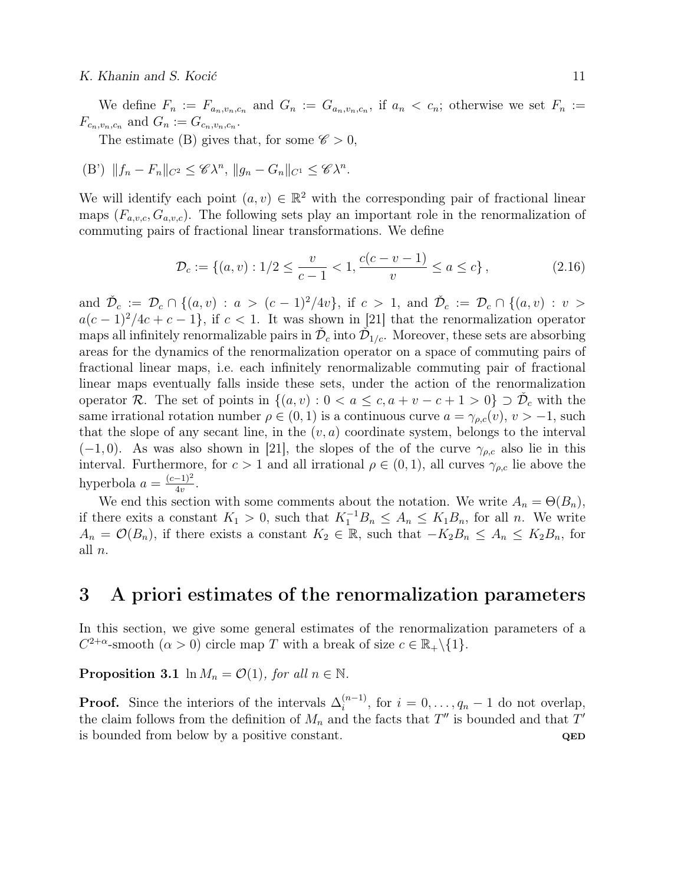#### K. Khanin and S. Kocić 11

We define  $F_n := F_{a_n,v_n,c_n}$  and  $G_n := G_{a_n,v_n,c_n}$ , if  $a_n < c_n$ ; otherwise we set  $F_n :=$  $F_{c_n,v_n,c_n}$  and  $G_n := G_{c_n,v_n,c_n}$ .

The estimate (B) gives that, for some  $\mathscr{C} > 0$ ,

(B') 
$$
||f_n - F_n||_{C^2} \leq \mathcal{CN}^n
$$
,  $||g_n - G_n||_{C^1} \leq \mathcal{CN}^n$ .

We will identify each point  $(a, v) \in \mathbb{R}^2$  with the corresponding pair of fractional linear maps  $(F_{a,v,c}, G_{a,v,c})$ . The following sets play an important role in the renormalization of commuting pairs of fractional linear transformations. We define

$$
\mathcal{D}_c := \{(a, v) : 1/2 \le \frac{v}{c - 1} < 1, \frac{c(c - v - 1)}{v} \le a \le c\},\tag{2.16}
$$

and  $\check{\mathcal{D}}_c := \mathcal{D}_c \cap \{(a, v) : a > (c-1)^2/4v\}$ , if  $c > 1$ , and  $\check{\mathcal{D}}_c := \mathcal{D}_c \cap \{(a, v) : v >$  $a(c-1)^2/4c+c-1$ , if  $c<1$ . It was shown in [21] that the renormalization operator maps all infinitely renormalizable pairs in  $\check{\mathcal{D}}_c$  into  $\check{\mathcal{D}}_{1/c}$ . Moreover, these sets are absorbing areas for the dynamics of the renormalization operator on a space of commuting pairs of fractional linear maps, i.e. each infinitely renormalizable commuting pair of fractional linear maps eventually falls inside these sets, under the action of the renormalization operator R. The set of points in  $\{(a, v): 0 < a \leq c, a + v - c + 1 > 0\} \supset \check{\mathcal{D}}_c$  with the same irrational rotation number  $\rho \in (0, 1)$  is a continuous curve  $a = \gamma_{\rho,c}(v), v > -1$ , such that the slope of any secant line, in the  $(v, a)$  coordinate system, belongs to the interval  $(-1, 0)$ . As was also shown in [21], the slopes of the of the curve  $\gamma_{\rho,c}$  also lie in this interval. Furthermore, for  $c > 1$  and all irrational  $\rho \in (0, 1)$ , all curves  $\gamma_{\rho,c}$  lie above the hyperbola  $a = \frac{(c-1)^2}{4v}$  $\frac{-1)^2}{4v}$ .

We end this section with some comments about the notation. We write  $A_n = \Theta(B_n)$ , if there exits a constant  $K_1 > 0$ , such that  $K_1^{-1}B_n \leq A_n \leq K_1B_n$ , for all n. We write  $A_n = \mathcal{O}(B_n)$ , if there exists a constant  $K_2 \in \mathbb{R}$ , such that  $-K_2B_n \leq A_n \leq K_2B_n$ , for all n.

### 3 A priori estimates of the renormalization parameters

In this section, we give some general estimates of the renormalization parameters of a  $C^{2+\alpha}$ -smooth  $(\alpha > 0)$  circle map T with a break of size  $c \in \mathbb{R}_+ \setminus \{1\}.$ 

**Proposition 3.1** ln  $M_n = \mathcal{O}(1)$ , for all  $n \in \mathbb{N}$ .

**Proof.** Since the interiors of the intervals  $\Delta_i^{(n-1)}$  $i^{(n-1)}$ , for  $i = 0, \ldots, q_n - 1$  do not overlap, the claim follows from the definition of  $M_n$  and the facts that  $T''$  is bounded and that  $T'$ is bounded from below by a positive constant.  $QED$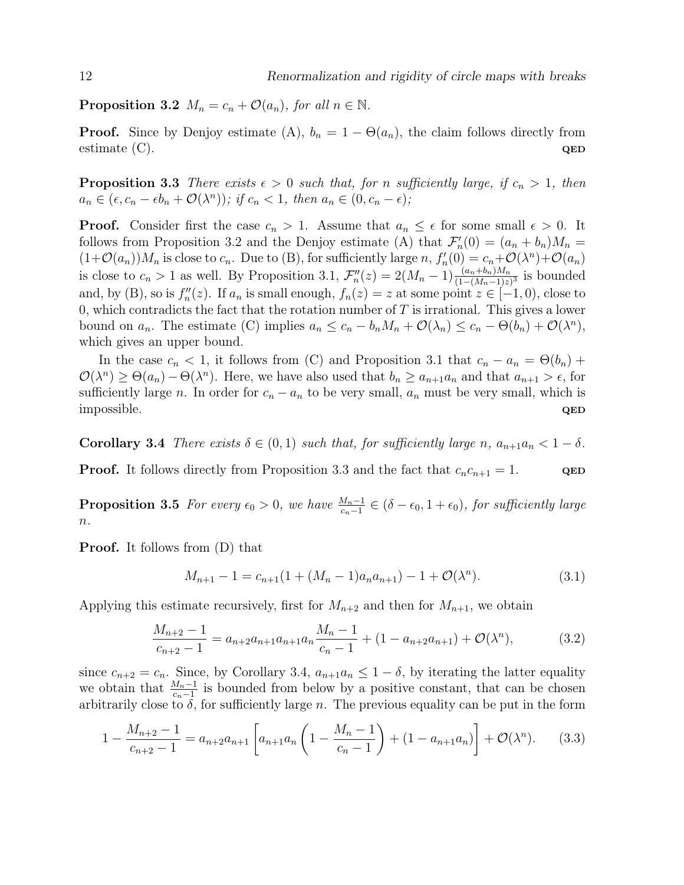**Proposition 3.2**  $M_n = c_n + \mathcal{O}(a_n)$ , for all  $n \in \mathbb{N}$ .

**Proof.** Since by Denjoy estimate (A),  $b_n = 1 - \Theta(a_n)$ , the claim follows directly from estimate (C).  $QED$ 

**Proposition 3.3** There exists  $\epsilon > 0$  such that, for n sufficiently large, if  $c_n > 1$ , then  $a_n \in (\epsilon, c_n - \epsilon b_n + \mathcal{O}(\lambda^n)); \text{ if } c_n < 1, \text{ then } a_n \in (0, c_n - \epsilon);$ 

**Proof.** Consider first the case  $c_n > 1$ . Assume that  $a_n \leq \epsilon$  for some small  $\epsilon > 0$ . It follows from Proposition 3.2 and the Denjoy estimate (A) that  $\mathcal{F}'_n(0) = (a_n + b_n)M_n =$  $(1+\mathcal{O}(a_n))M_n$  is close to  $c_n$ . Due to (B), for sufficiently large  $n, f'_n(0) = c_n + \mathcal{O}(\lambda^n) + \mathcal{O}(a_n)$ is close to  $c_n > 1$  as well. By Proposition 3.1,  $\mathcal{F}_n''(z) = 2(M_n - 1) \frac{(a_n + b_n)M_n}{(1 - (M_n - 1)z)^3}$  is bounded and, by (B), so is  $f''_n(z)$ . If  $a_n$  is small enough,  $f_n(z) = z$  at some point  $z \in [-1,0)$ , close to 0, which contradicts the fact that the rotation number of  $T$  is irrational. This gives a lower bound on  $a_n$ . The estimate (C) implies  $a_n \le c_n - b_n M_n + \mathcal{O}(\lambda_n) \le c_n - \Theta(b_n) + \mathcal{O}(\lambda^n)$ , which gives an upper bound.

In the case  $c_n < 1$ , it follows from (C) and Proposition 3.1 that  $c_n - a_n = \Theta(b_n) +$  $\mathcal{O}(\lambda^n) \geq \Theta(a_n) - \Theta(\lambda^n)$ . Here, we have also used that  $b_n \geq a_{n+1}a_n$  and that  $a_{n+1} > \epsilon$ , for sufficiently large n. In order for  $c_n - a_n$  to be very small,  $a_n$  must be very small, which is impossible. QED

**Corollary 3.4** There exists  $\delta \in (0,1)$  such that, for sufficiently large n,  $a_{n+1}a_n < 1 - \delta$ .

**Proof.** It follows directly from Proposition 3.3 and the fact that  $c_n c_{n+1} = 1$ . QED

**Proposition 3.5** For every  $\epsilon_0 > 0$ , we have  $\frac{M_n-1}{c_n-1} \in (\delta - \epsilon_0, 1 + \epsilon_0)$ , for sufficiently large  $n$ .

Proof. It follows from (D) that

$$
M_{n+1} - 1 = c_{n+1}(1 + (M_n - 1)a_n a_{n+1}) - 1 + \mathcal{O}(\lambda^n). \tag{3.1}
$$

Applying this estimate recursively, first for  $M_{n+2}$  and then for  $M_{n+1}$ , we obtain

$$
\frac{M_{n+2}-1}{c_{n+2}-1} = a_{n+2}a_{n+1}a_{n+1}a_n \frac{M_n-1}{c_n-1} + (1 - a_{n+2}a_{n+1}) + \mathcal{O}(\lambda^n),\tag{3.2}
$$

since  $c_{n+2} = c_n$ . Since, by Corollary 3.4,  $a_{n+1}a_n \leq 1 - \delta$ , by iterating the latter equality we obtain that  $\frac{M_n-1}{c_n-1}$  is bounded from below by a positive constant, that can be chosen arbitrarily close to  $\delta$ , for sufficiently large n. The previous equality can be put in the form

$$
1 - \frac{M_{n+2} - 1}{c_{n+2} - 1} = a_{n+2}a_{n+1} \left[ a_{n+1}a_n \left( 1 - \frac{M_n - 1}{c_n - 1} \right) + (1 - a_{n+1}a_n) \right] + \mathcal{O}(\lambda^n). \tag{3.3}
$$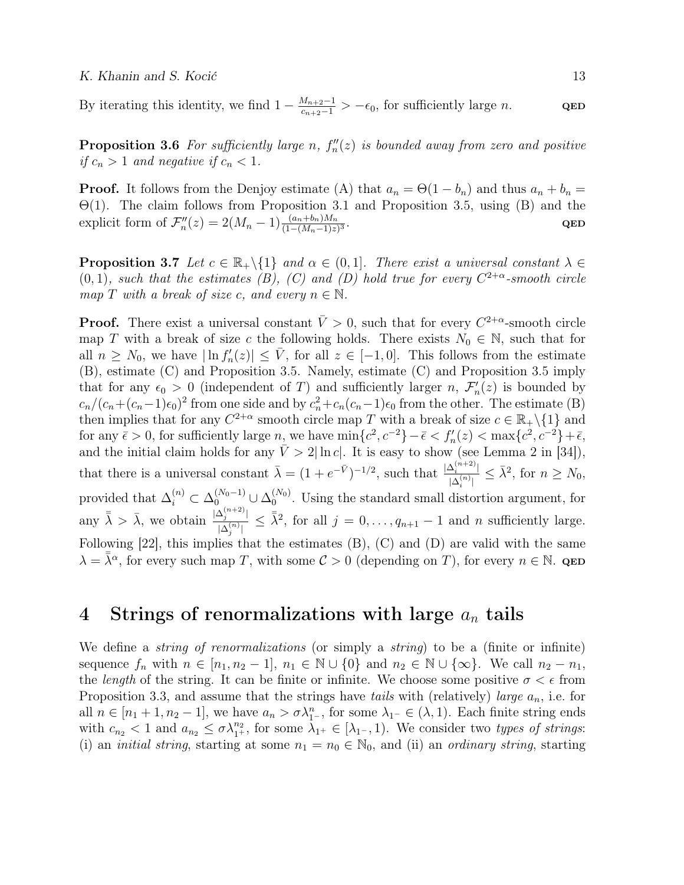By iterating this identity, we find  $1 - \frac{M_{n+2}-1}{c_{n+2}-1} > -\epsilon_0$ , for sufficiently large *n*. QED

**Proposition 3.6** For sufficiently large n,  $f''_n(z)$  is bounded away from zero and positive if  $c_n > 1$  and negative if  $c_n < 1$ .

**Proof.** It follows from the Denjoy estimate (A) that  $a_n = \Theta(1 - b_n)$  and thus  $a_n + b_n =$ Θ(1). The claim follows from Proposition 3.1 and Proposition 3.5, using (B) and the explicit form of  $\mathcal{F}_n''(z) = 2(M_n - 1) \frac{(a_n + b_n)M_n}{(1 - (M_n - 1)z)^3}$ . <br>  $\begin{aligned} \mathbf{QED} \end{aligned}$ 

**Proposition 3.7** Let  $c \in \mathbb{R}_+ \setminus \{1\}$  and  $\alpha \in (0,1]$ . There exist a universal constant  $\lambda \in$  $(0, 1)$ , such that the estimates (B), (C) and (D) hold true for every  $C^{2+\alpha}$ -smooth circle map T with a break of size c, and every  $n \in \mathbb{N}$ .

**Proof.** There exist a universal constant  $\bar{V} > 0$ , such that for every  $C^{2+\alpha}$ -smooth circle map T with a break of size c the following holds. There exists  $N_0 \in \mathbb{N}$ , such that for all  $n \geq N_0$ , we have  $|\ln f'_n(z)| \leq \bar{V}$ , for all  $z \in [-1,0]$ . This follows from the estimate (B), estimate (C) and Proposition 3.5. Namely, estimate (C) and Proposition 3.5 imply that for any  $\epsilon_0 > 0$  (independent of T) and sufficiently larger n,  $\mathcal{F}'_n(z)$  is bounded by  $c_n/(c_n+(c_n-1)\epsilon_0)^2$  from one side and by  $c_n^2+c_n(c_n-1)\epsilon_0$  from the other. The estimate (B) then implies that for any  $C^{2+\alpha}$  smooth circle map T with a break of size  $c \in \mathbb{R}_+ \setminus \{1\}$  and for any  $\bar{\epsilon} > 0$ , for sufficiently large n, we have  $\min\{c^2, c^{-2}\} - \bar{\epsilon} < f'_n(z) < \max\{c^2, c^{-2}\} + \bar{\epsilon}$ , and the initial claim holds for any  $\bar{V} > 2|\ln c|$ . It is easy to show (see Lemma 2 in [34]), that there is a universal constant  $\bar{\lambda} = (1 + e^{-\bar{V}})^{-1/2}$ , such that  $\frac{|\Delta_i^{(n+2)}|}{\lambda^{(n)}|}$  $\frac{\Delta_i^{(n+2)}}{|\Delta_i^{(n)}|} \leq \bar{\lambda}^2$ , for  $n \geq N_0$ , provided that  $\Delta_i^{(n)} \subset \Delta_0^{(N_0-1)} \cup \Delta_0^{(N_0)}$  $_{0}^{(N_0)}$ . Using the standard small distortion argument, for any  $\bar{\bar{\lambda}} > \bar{\lambda}$ , we obtain  $\frac{|\Delta_j^{(n+2)}|}{\Delta_j^{(n)}|}$  $|\Delta_j^{(n+2)}| \leq \bar{\lambda}^2$ , for all  $j = 0, \ldots, q_{n+1} - 1$  and n sufficiently large. Following [22], this implies that the estimates (B), (C) and (D) are valid with the same  $\lambda = \overline{\overline{\lambda}}^{\alpha}$ , for every such map T, with some  $\mathcal{C} > 0$  (depending on T), for every  $n \in \mathbb{N}$ . QED

# 4 Strings of renormalizations with large  $a_n$  tails

We define a *string of renormalizations* (or simply a *string*) to be a (finite or infinite) sequence  $f_n$  with  $n \in [n_1, n_2 - 1], n_1 \in \mathbb{N} \cup \{0\}$  and  $n_2 \in \mathbb{N} \cup \{\infty\}$ . We call  $n_2 - n_1$ , the *length* of the string. It can be finite or infinite. We choose some positive  $\sigma < \epsilon$  from Proposition 3.3, and assume that the strings have tails with (relatively) large  $a_n$ , i.e. for all  $n \in [n_1 + 1, n_2 - 1]$ , we have  $a_n > \sigma \lambda_{1}^n$ , for some  $\lambda_{1} \in (\lambda, 1)$ . Each finite string ends with  $c_{n_2} < 1$  and  $a_{n_2} \leq \sigma \lambda_1^{n_2}$ , for some  $\lambda_1 + \in [\lambda_1, 1]$ . We consider two types of strings: (i) an *initial string*, starting at some  $n_1 = n_0 \in \mathbb{N}_0$ , and (ii) an *ordinary string*, starting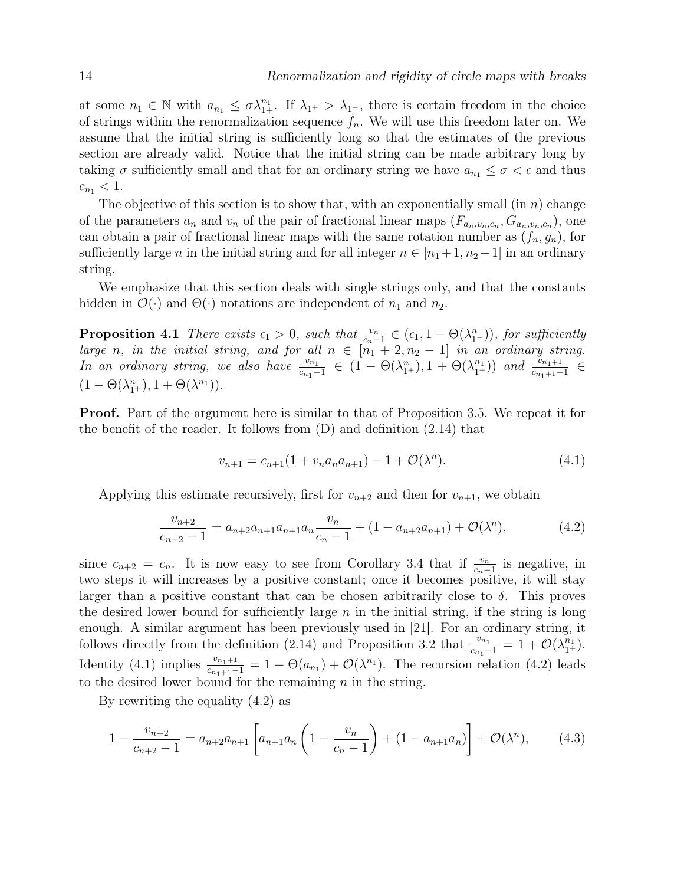at some  $n_1 \in \mathbb{N}$  with  $a_{n_1} \leq \sigma \lambda_{1+}^{n_1}$ . If  $\lambda_{1+} > \lambda_{1-}$ , there is certain freedom in the choice of strings within the renormalization sequence  $f_n$ . We will use this freedom later on. We assume that the initial string is sufficiently long so that the estimates of the previous section are already valid. Notice that the initial string can be made arbitrary long by taking  $\sigma$  sufficiently small and that for an ordinary string we have  $a_{n_1} \leq \sigma < \epsilon$  and thus  $c_{n_1} < 1.$ 

The objective of this section is to show that, with an exponentially small (in  $n$ ) change of the parameters  $a_n$  and  $v_n$  of the pair of fractional linear maps  $(F_{a_n,v_n,c_n}, G_{a_n,v_n,c_n})$ , one can obtain a pair of fractional linear maps with the same rotation number as  $(f_n, g_n)$ , for sufficiently large *n* in the initial string and for all integer  $n \in [n_1+1, n_2-1]$  in an ordinary string.

We emphasize that this section deals with single strings only, and that the constants hidden in  $\mathcal{O}(\cdot)$  and  $\Theta(\cdot)$  notations are independent of  $n_1$  and  $n_2$ .

**Proposition 4.1** There exists  $\epsilon_1 > 0$ , such that  $\frac{v_n}{c_n-1} \in (\epsilon_1, 1 - \Theta(\lambda_1^n))$ , for sufficiently large n, in the initial string, and for all  $n \in [n_1 + 2, n_2 - 1]$  in an ordinary string. In an ordinary string, we also have  $\frac{v_{n_1}}{c_{n_1}-1} \in (1 - \Theta(\lambda_1^n), 1 + \Theta(\lambda_1^n))$  and  $\frac{v_{n_1+1}}{c_{n_1+1}-1} \in$  $(1 - \Theta(\lambda_1^n), 1 + \Theta(\lambda^{n_1})).$ 

Proof. Part of the argument here is similar to that of Proposition 3.5. We repeat it for the benefit of the reader. It follows from (D) and definition (2.14) that

$$
v_{n+1} = c_{n+1}(1 + v_n a_n a_{n+1}) - 1 + \mathcal{O}(\lambda^n). \tag{4.1}
$$

Applying this estimate recursively, first for  $v_{n+2}$  and then for  $v_{n+1}$ , we obtain

$$
\frac{v_{n+2}}{c_{n+2}-1} = a_{n+2}a_{n+1}a_{n+1}a_n \frac{v_n}{c_n-1} + (1 - a_{n+2}a_{n+1}) + \mathcal{O}(\lambda^n),\tag{4.2}
$$

since  $c_{n+2} = c_n$ . It is now easy to see from Corollary 3.4 that if  $\frac{v_n}{c_n-1}$  is negative, in two steps it will increases by a positive constant; once it becomes positive, it will stay larger than a positive constant that can be chosen arbitrarily close to  $\delta$ . This proves the desired lower bound for sufficiently large  $n$  in the initial string, if the string is long enough. A similar argument has been previously used in [21]. For an ordinary string, it follows directly from the definition (2.14) and Proposition 3.2 that  $\frac{v_{n_1}}{c_{n_1}-1} = 1 + \mathcal{O}(\lambda_{1+}^{n_1}).$ Identity (4.1) implies  $\frac{v_{n_1+1}}{c_{n_1+1}-1} = 1 - \Theta(a_{n_1}) + \mathcal{O}(\lambda^{n_1})$ . The recursion relation (4.2) leads to the desired lower bound for the remaining  $n$  in the string.

By rewriting the equality (4.2) as

$$
1 - \frac{v_{n+2}}{c_{n+2} - 1} = a_{n+2}a_{n+1} \left[ a_{n+1}a_n \left( 1 - \frac{v_n}{c_n - 1} \right) + (1 - a_{n+1}a_n) \right] + \mathcal{O}(\lambda^n), \tag{4.3}
$$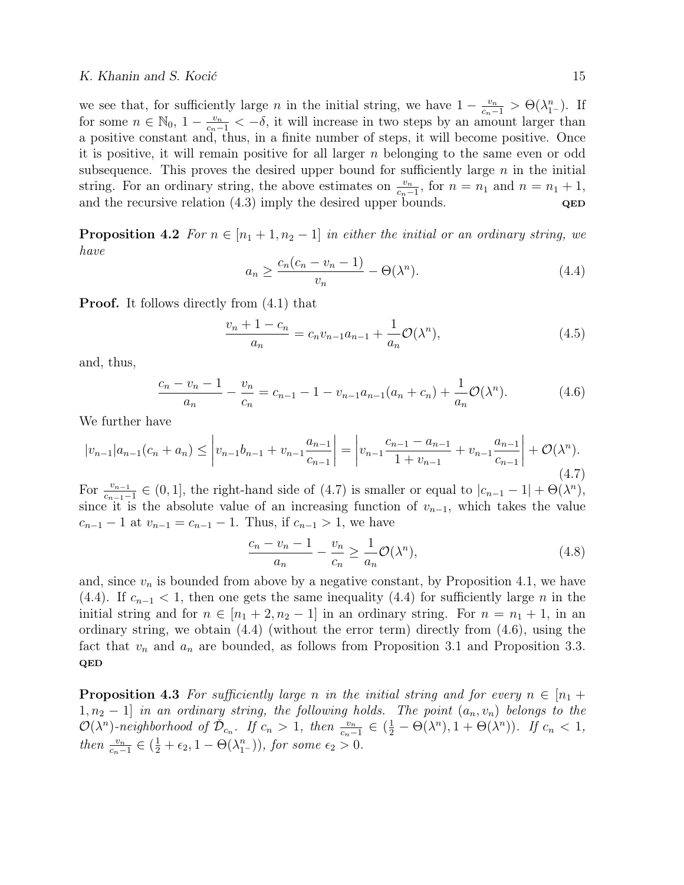#### K. Khanin and S. Kocić 15

we see that, for sufficiently large *n* in the initial string, we have  $1 - \frac{v_n}{c_n-1} > \Theta(\lambda_1^n)$ . If for some  $n \in \mathbb{N}_0$ ,  $1 - \frac{v_n}{c_n-1} < -\delta$ , it will increase in two steps by an amount larger than a positive constant and, thus, in a finite number of steps, it will become positive. Once it is positive, it will remain positive for all larger  $n$  belonging to the same even or odd subsequence. This proves the desired upper bound for sufficiently large  $n$  in the initial string. For an ordinary string, the above estimates on  $\frac{v_n}{c_n-1}$ , for  $n = n_1$  and  $n = n_1 + 1$ , and the recursive relation  $(4.3)$  imply the desired upper bounds.  $QED$ 

**Proposition 4.2** For  $n \in [n_1 + 1, n_2 - 1]$  in either the initial or an ordinary string, we have

$$
a_n \ge \frac{c_n(c_n - v_n - 1)}{v_n} - \Theta(\lambda^n). \tag{4.4}
$$

**Proof.** It follows directly from  $(4.1)$  that

$$
\frac{v_n + 1 - c_n}{a_n} = c_n v_{n-1} a_{n-1} + \frac{1}{a_n} \mathcal{O}(\lambda^n),\tag{4.5}
$$

and, thus,

$$
\frac{c_n - v_n - 1}{a_n} - \frac{v_n}{c_n} = c_{n-1} - 1 - v_{n-1}a_{n-1}(a_n + c_n) + \frac{1}{a_n}\mathcal{O}(\lambda^n).
$$
 (4.6)

We further have

$$
|v_{n-1}|a_{n-1}(c_n + a_n) \leq \left| v_{n-1}b_{n-1} + v_{n-1}\frac{a_{n-1}}{c_{n-1}} \right| = \left| v_{n-1}\frac{c_{n-1} - a_{n-1}}{1 + v_{n-1}} + v_{n-1}\frac{a_{n-1}}{c_{n-1}} \right| + \mathcal{O}(\lambda^n). \tag{4.7}
$$

For  $\frac{v_{n-1}}{c_{n-1}-1} \in (0,1]$ , the right-hand side of (4.7) is smaller or equal to  $|c_{n-1}-1| + \Theta(\lambda^n)$ , since it is the absolute value of an increasing function of  $v_{n-1}$ , which takes the value  $c_{n-1} - 1$  at  $v_{n-1} = c_{n-1} - 1$ . Thus, if  $c_{n-1} > 1$ , we have

$$
\frac{c_n - v_n - 1}{a_n} - \frac{v_n}{c_n} \ge \frac{1}{a_n} \mathcal{O}(\lambda^n),\tag{4.8}
$$

and, since  $v_n$  is bounded from above by a negative constant, by Proposition 4.1, we have (4.4). If  $c_{n-1}$  < 1, then one gets the same inequality (4.4) for sufficiently large n in the initial string and for  $n \in [n_1 + 2, n_2 - 1]$  in an ordinary string. For  $n = n_1 + 1$ , in an ordinary string, we obtain (4.4) (without the error term) directly from (4.6), using the fact that  $v_n$  and  $a_n$  are bounded, as follows from Proposition 3.1 and Proposition 3.3. QED

**Proposition 4.3** For sufficiently large n in the initial string and for every  $n \in [n_1 +$  $1, n_2 - 1$  in an ordinary string, the following holds. The point  $(a_n, v_n)$  belongs to the  $\mathcal{O}(\lambda^n)$ -neighborhood of  $\check{\mathcal{D}}_{c_n}$ . If  $c_n > 1$ , then  $\frac{v_n}{c_n-1} \in (\frac{1}{2} - \Theta(\lambda^n), 1 + \Theta(\lambda^n))$ . If  $c_n < 1$ , then  $\frac{v_n}{c_n-1} \in (\frac{1}{2} + \epsilon_2, 1 - \Theta(\lambda_1^n))$ , for some  $\epsilon_2 > 0$ .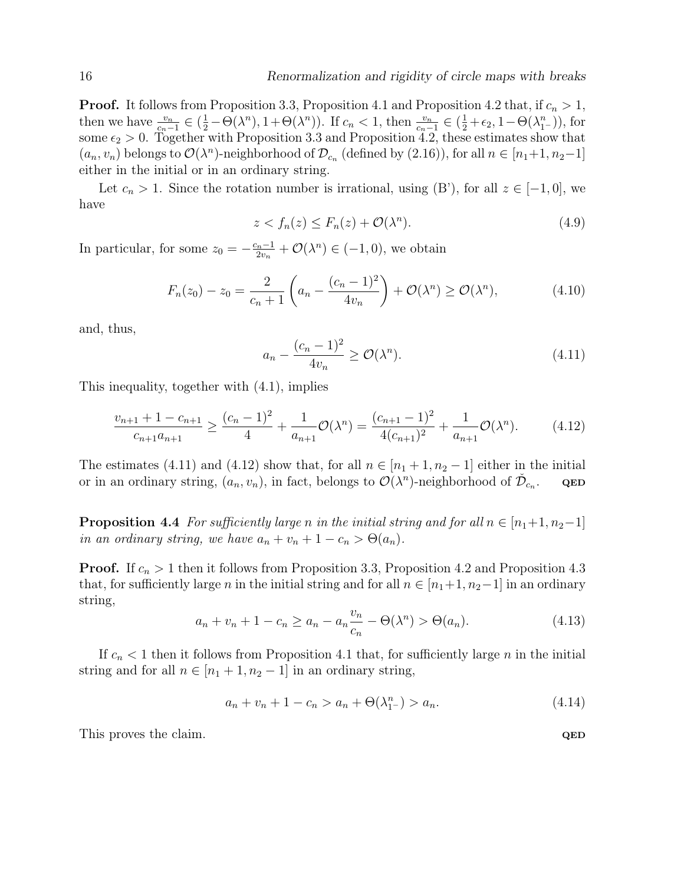**Proof.** It follows from Proposition 3.3, Proposition 4.1 and Proposition 4.2 that, if  $c_n > 1$ , then we have  $\frac{v_n}{c_n-1} \in (\frac{1}{2} - \Theta(\lambda^n), 1 + \Theta(\lambda^n))$ . If  $c_n < 1$ , then  $\frac{v_n}{c_n-1} \in (\frac{1}{2} + \epsilon_2, 1 - \Theta(\lambda^n_{1-}))$ , for some  $\epsilon_2 > 0$ . Together with Proposition 3.3 and Proposition 4.2, these estimates show that  $(a_n, v_n)$  belongs to  $\mathcal{O}(\lambda^n)$ -neighborhood of  $\mathcal{D}_{c_n}$  (defined by (2.16)), for all  $n \in [n_1+1, n_2-1]$ either in the initial or in an ordinary string.

Let  $c_n > 1$ . Since the rotation number is irrational, using  $(B')$ , for all  $z \in [-1,0]$ , we have

$$
z < f_n(z) \le F_n(z) + \mathcal{O}(\lambda^n). \tag{4.9}
$$

In particular, for some  $z_0 = -\frac{c_n-1}{2v_n}$  $\frac{2n-1}{2v_n} + \mathcal{O}(\lambda^n) \in (-1,0)$ , we obtain

$$
F_n(z_0) - z_0 = \frac{2}{c_n + 1} \left( a_n - \frac{(c_n - 1)^2}{4v_n} \right) + \mathcal{O}(\lambda^n) \ge \mathcal{O}(\lambda^n), \tag{4.10}
$$

and, thus,

$$
a_n - \frac{(c_n - 1)^2}{4v_n} \ge \mathcal{O}(\lambda^n). \tag{4.11}
$$

This inequality, together with (4.1), implies

$$
\frac{v_{n+1} + 1 - c_{n+1}}{c_{n+1}a_{n+1}} \ge \frac{(c_n - 1)^2}{4} + \frac{1}{a_{n+1}}\mathcal{O}(\lambda^n) = \frac{(c_{n+1} - 1)^2}{4(c_{n+1})^2} + \frac{1}{a_{n+1}}\mathcal{O}(\lambda^n). \tag{4.12}
$$

The estimates (4.11) and (4.12) show that, for all  $n \in [n_1 + 1, n_2 - 1]$  either in the initial or in an ordinary string,  $(a_n, v_n)$ , in fact, belongs to  $\mathcal{O}(\lambda^n)$ -neighborhood of  $\check{\mathcal{D}}_{c_n}$ . QED

**Proposition 4.4** For sufficiently large n in the initial string and for all  $n \in [n_1+1, n_2-1]$ in an ordinary string, we have  $a_n + v_n + 1 - c_n > \Theta(a_n)$ .

**Proof.** If  $c_n > 1$  then it follows from Proposition 3.3, Proposition 4.2 and Proposition 4.3 that, for sufficiently large *n* in the initial string and for all  $n \in [n_1+1, n_2-1]$  in an ordinary string,

$$
a_n + v_n + 1 - c_n \ge a_n - a_n \frac{v_n}{c_n} - \Theta(\lambda^n) > \Theta(a_n).
$$
 (4.13)

If  $c_n < 1$  then it follows from Proposition 4.1 that, for sufficiently large n in the initial string and for all  $n \in [n_1 + 1, n_2 - 1]$  in an ordinary string,

$$
a_n + v_n + 1 - c_n > a_n + \Theta(\lambda_1^n) > a_n.
$$
\n(4.14)

This proves the claim. Quantum control of the control of the control of the control of  $QED$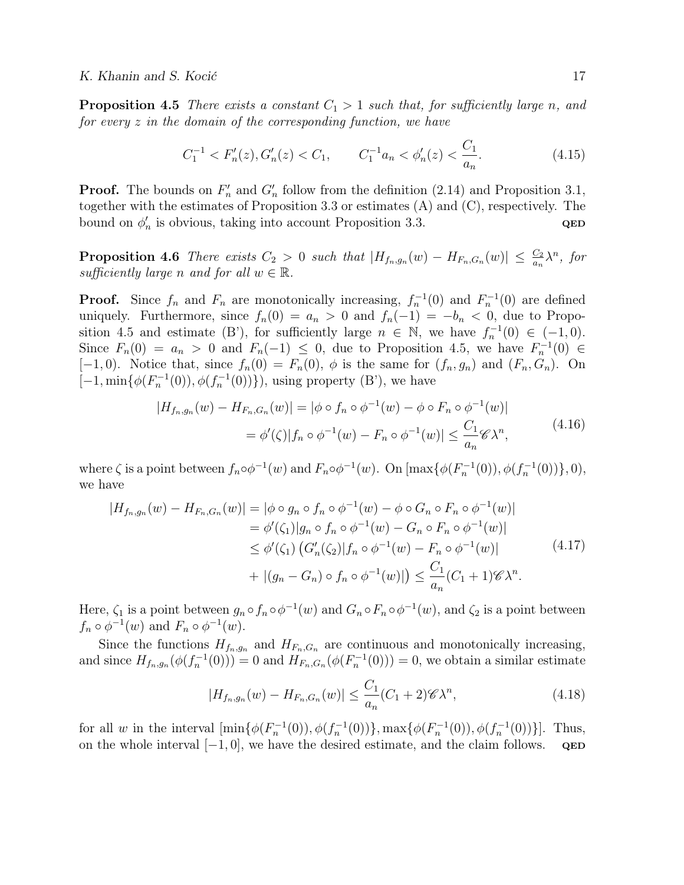**Proposition 4.5** There exists a constant  $C_1 > 1$  such that, for sufficiently large n, and for every z in the domain of the corresponding function, we have

$$
C_1^{-1} < F_n'(z), G_n'(z) < C_1, \qquad C_1^{-1}a_n < \phi_n'(z) < \frac{C_1}{a_n}.\tag{4.15}
$$

**Proof.** The bounds on  $F'_n$  and  $G'_n$  follow from the definition (2.14) and Proposition 3.1, together with the estimates of Proposition 3.3 or estimates (A) and (C), respectively. The bound on  $\phi'_n$  is obvious, taking into account Proposition 3.3.  $QED$ 

**Proposition 4.6** There exists  $C_2 > 0$  such that  $|H_{f_n,g_n}(w) - H_{F_n,G_n}(w)| \leq \frac{C_2}{a_n} \lambda^n$ , for sufficiently large n and for all  $w \in \mathbb{R}$ .

**Proof.** Since  $f_n$  and  $F_n$  are monotonically increasing,  $f_n^{-1}(0)$  and  $F_n^{-1}(0)$  are defined uniquely. Furthermore, since  $f_n(0) = a_n > 0$  and  $f_n(-1) = -b_n < 0$ , due to Proposition 4.5 and estimate (B'), for sufficiently large  $n \in \mathbb{N}$ , we have  $f_n^{-1}(0) \in (-1,0)$ . Since  $F_n(0) = a_n > 0$  and  $F_n(-1) \leq 0$ , due to Proposition 4.5, we have  $F_n^{-1}(0) \in$ [-1,0). Notice that, since  $f_n(0) = F_n(0)$ ,  $\phi$  is the same for  $(f_n, g_n)$  and  $(F_n, G_n)$ . On  $[-1, \min{\{\phi(F_n^{-1}(0)), \phi(f_n^{-1}(0))\}}\},\$ using property  $(B')$ , we have

$$
|H_{f_n,g_n}(w) - H_{F_n,G_n}(w)| = |\phi \circ f_n \circ \phi^{-1}(w) - \phi \circ F_n \circ \phi^{-1}(w)|
$$
  
=  $\phi'(\zeta)|f_n \circ \phi^{-1}(w) - F_n \circ \phi^{-1}(w)| \le \frac{C_1}{a_n} \mathscr{C} \lambda^n,$  (4.16)

where  $\zeta$  is a point between  $f_n \circ \phi^{-1}(w)$  and  $F_n \circ \phi^{-1}(w)$ . On  $[\max{\{\phi(F_n^{-1}(0)), \phi(f_n^{-1}(0))\}}, 0),$ we have

$$
|H_{f_n,g_n}(w) - H_{F_n,G_n}(w)| = |\phi \circ g_n \circ f_n \circ \phi^{-1}(w) - \phi \circ G_n \circ F_n \circ \phi^{-1}(w)|
$$
  
\n
$$
= \phi'(\zeta_1)|g_n \circ f_n \circ \phi^{-1}(w) - G_n \circ F_n \circ \phi^{-1}(w)|
$$
  
\n
$$
\leq \phi'(\zeta_1) (G'_n(\zeta_2)|f_n \circ \phi^{-1}(w) - F_n \circ \phi^{-1}(w)|
$$
  
\n
$$
+ |(g_n - G_n) \circ f_n \circ \phi^{-1}(w)|) \leq \frac{C_1}{a_n} (C_1 + 1) \mathscr{C} \lambda^n.
$$
\n(4.17)

Here,  $\zeta_1$  is a point between  $g_n \circ f_n \circ \phi^{-1}(w)$  and  $G_n \circ F_n \circ \phi^{-1}(w)$ , and  $\zeta_2$  is a point between  $f_n \circ \phi^{-1}(w)$  and  $F_n \circ \phi^{-1}(w)$ .

Since the functions  $H_{f_n,g_n}$  and  $H_{F_n,G_n}$  are continuous and monotonically increasing, and since  $H_{f_n,g_n}(\phi(f_n^{-1}(0)))=0$  and  $H_{F_n,G_n}(\phi(F_n^{-1}(0)))=0$ , we obtain a similar estimate

$$
|H_{f_n,g_n}(w) - H_{F_n,G_n}(w)| \le \frac{C_1}{a_n} (C_1 + 2) \mathscr{C} \lambda^n,
$$
\n(4.18)

for all w in the interval  $[\min{\{\phi(F_n^{-1}(0)), \phi(f_n^{-1}(0))\}}, \max{\{\phi(F_n^{-1}(0)), \phi(f_n^{-1}(0))\}}]$ . Thus, on the whole interval  $[-1, 0]$ , we have the desired estimate, and the claim follows. QED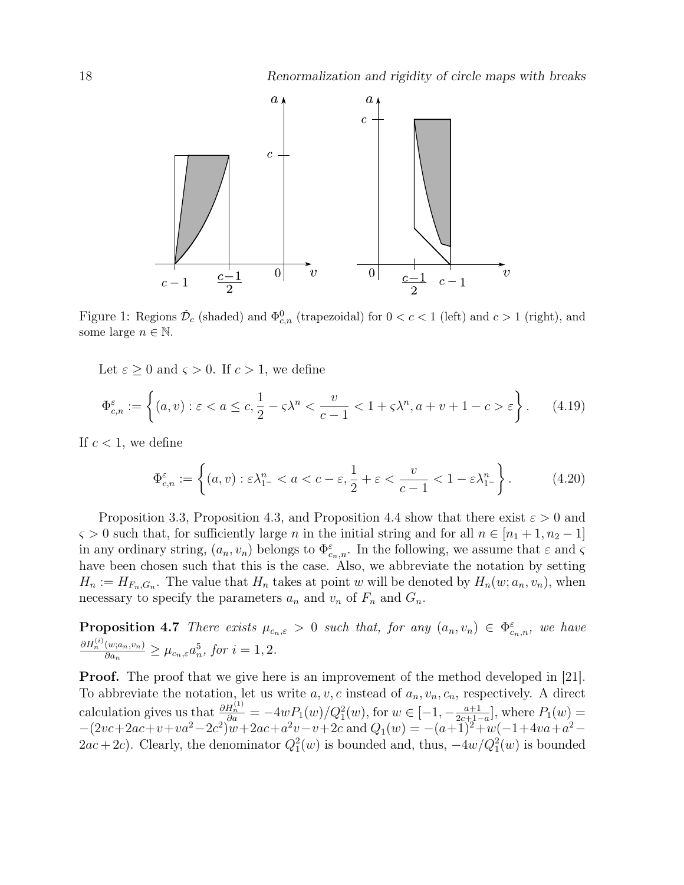

Figure 1: Regions  $\check{\mathcal{D}}_c$  (shaded) and  $\Phi_{c,n}^0$  (trapezoidal) for  $0 < c < 1$  (left) and  $c > 1$  (right), and some large  $n \in \mathbb{N}$ .

Let  $\varepsilon \geq 0$  and  $\varsigma > 0$ . If  $c > 1$ , we define

$$
\Phi_{c,n}^{\varepsilon} := \left\{ (a,v) : \varepsilon < a \leq c, \frac{1}{2} - \varsigma \lambda^n < \frac{v}{c-1} < 1 + \varsigma \lambda^n, a+v+1-c > \varepsilon \right\}. \tag{4.19}
$$

If  $c < 1$ , we define

$$
\Phi_{c,n}^{\varepsilon} := \left\{ (a,v) : \varepsilon \lambda_{1-}^n < a < c - \varepsilon, \frac{1}{2} + \varepsilon < \frac{v}{c-1} < 1 - \varepsilon \lambda_{1-}^n \right\}. \tag{4.20}
$$

Proposition 3.3, Proposition 4.3, and Proposition 4.4 show that there exist  $\varepsilon > 0$  and  $\varsigma > 0$  such that, for sufficiently large n in the initial string and for all  $n \in [n_1 + 1, n_2 - 1]$ in any ordinary string,  $(a_n, v_n)$  belongs to  $\Phi_{c_n,n}^{\varepsilon}$ . In the following, we assume that  $\varepsilon$  and  $\varsigma$ have been chosen such that this is the case. Also, we abbreviate the notation by setting  $H_n := H_{F_n,G_n}$ . The value that  $H_n$  takes at point w will be denoted by  $H_n(w;a_n, v_n)$ , when necessary to specify the parameters  $a_n$  and  $v_n$  of  $F_n$  and  $G_n$ .

**Proposition 4.7** There exists  $\mu_{c_n,\varepsilon} > 0$  such that, for any  $(a_n, v_n) \in \Phi_{c_n,n}^{\varepsilon}$ , we have  $\partial H_n^{(i)}(w;a_n,v_n)$  $\frac{(w; a_n, v_n)}{\partial a_n} \geq \mu_{c_n, \varepsilon} a_n^5$ , for  $i = 1, 2$ .

**Proof.** The proof that we give here is an improvement of the method developed in [21]. To abbreviate the notation, let us write  $a, v, c$  instead of  $a_n, v_n, c_n$ , respectively. A direct calculation gives us that  $\frac{\partial H_n^{(1)}}{\partial a} = -4wP_1(w)/Q_1^2(w)$ , for  $w \in [-1, -\frac{a+1}{2c+1}]$  $\frac{a+1}{2c+1-a}$ , where  $P_1(w)$  =  $-(2vc+2ac+v+va^2-2c^2)\overline{w}+2ac+a^2v-v+2c$  and  $Q_1(w) = -(a+1)^2+w(-1+4va+a^2 (2ac+2c)$ . Clearly, the denominator  $Q_1^2(w)$  is bounded and, thus,  $-4w/Q_1^2(w)$  is bounded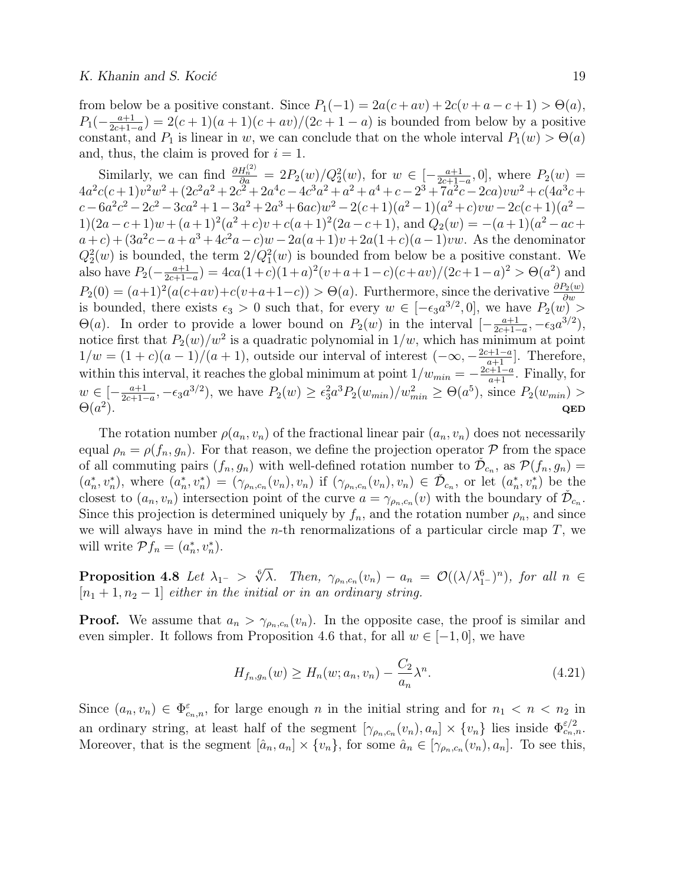from below be a positive constant. Since  $P_1(-1) = 2a(c + av) + 2c(v + a - c + 1) > \Theta(a)$ ,  $P_1(-\frac{a+1}{2c+1-1}$  $\frac{a+1}{2c+1-a}$ ) = 2(c + 1)(a + 1)(c + av)/(2c + 1 − a) is bounded from below by a positive constant, and  $P_1$  is linear in w, we can conclude that on the whole interval  $P_1(w) > \Theta(a)$ and, thus, the claim is proved for  $i = 1$ .

Similarly, we can find  $\frac{\partial H_n^{(2)}}{\partial a} = 2P_2(w)/Q_2^2(w)$ , for  $w \in \left[-\frac{a+1}{2c+1}\right]$  $\frac{a+1}{2c+1-a}$ , 0, where  $P_2(w) =$  $4a^2c(c+1)v^2w^2 + (2c^2a^2 + 2c^2 + 2a^4c - 4c^3a^2 + a^2 + a^4 + c - 2^3 + 7a^2c - 2ca)vw^2 + c(4a^3c +$  $c - 6a^2c^2 - 2c^2 - 3ca^2 + 1 - 3a^2 + 2a^3 + 6ac)w^2 - 2(c+1)(a^2-1)(a^2+c)vw - 2c(c+1)(a^2 1(2a-c+1)w + (a+1)^2(a^2+c)v + c(a+1)^2(2a-c+1)$ , and  $Q_2(w) = -(a+1)(a^2-ac+1)$  $a+c)+(3a^2c-a+a^3+4c^2a-c)w-2a(a+1)v+2a(1+c)(a-1)vw.$  As the denominator  $Q_2^2(w)$  is bounded, the term  $2/Q_1^2(w)$  is bounded from below be a positive constant. We also have  $P_2(-\frac{a+1}{2c+1-1})$  $\frac{a+1}{2c+1-a}$ ) = 4ca(1+c)(1+a)<sup>2</sup>(v+a+1-c)(c+av)/(2c+1-a)<sup>2</sup> >  $\Theta(a^2)$  and  $P_2(0) = (a+1)^2(a(c+av)+c(v+a+1-c)) > \Theta(a)$ . Furthermore, since the derivative  $\frac{\partial P_2(w)}{\partial w}$  is bounded, there exists  $\epsilon_3 > 0$  such that, for every  $w \in [-\epsilon_3 a^{3/2}, 0]$ , we have  $P_2(w) >$  $\Theta(a)$ . In order to provide a lower bound on  $P_2(w)$  in the interval  $\left[-\frac{a+1}{2c+1}\right]$  $\frac{a+1}{2c+1-a}, -\epsilon_3 a^{3/2}),$ notice first that  $P_2(w)/w^2$  is a quadratic polynomial in  $1/w$ , which has minimum at point  $1/w = (1+c)(a-1)/(a+1)$ , outside our interval of interest  $(-\infty, -\frac{2c+1-a}{a+1}]$ . Therefore, within this interval, it reaches the global minimum at point  $1/w_{min} = -\frac{2c+1-a}{a+1}$ . Finally, for  $w \in \left[-\frac{a+1}{2c+1}\right]$  $\frac{a+1}{2c+1-a}$ ,  $-\epsilon_3 a^{3/2}$ ), we have  $P_2(w) \ge \epsilon_3^2 a^3 P_2(w_{min})/w_{min}^2 \ge \Theta(a^5)$ , since  $P_2(w_{min}) >$  $\Theta(a^2)$  $\qquad \qquad \textbf{QED}$ 

The rotation number  $\rho(a_n, v_n)$  of the fractional linear pair  $(a_n, v_n)$  does not necessarily equal  $\rho_n = \rho(f_n, g_n)$ . For that reason, we define the projection operator  $\mathcal P$  from the space of all commuting pairs  $(f_n, g_n)$  with well-defined rotation number to  $\mathcal{D}_{c_n}$ , as  $\mathcal{P}(f_n, g_n)$  $(a_n^*, v_n^*)$ , where  $(a_n^*, v_n^*) = (\gamma_{\rho_n,c_n}(v_n), v_n)$  if  $(\gamma_{\rho_n,c_n}(v_n), v_n) \in \check{\mathcal{D}}_{c_n}$ , or let  $(a_n^*, v_n^*)$  be the closest to  $(a_n, v_n)$  intersection point of the curve  $a = \gamma_{\rho_n,c_n}(v)$  with the boundary of  $\check{\mathcal{D}}_{c_n}$ . Since this projection is determined uniquely by  $f_n$ , and the rotation number  $\rho_n$ , and since we will always have in mind the *n*-th renormalizations of a particular circle map  $T$ , we will write  $\mathcal{P}f_n = (a_n^*, v_n^*).$ 

Proposition 4.8 Let  $\lambda_{1^-} >$  $6/$  $\overline{\lambda}$ . Then,  $\gamma_{\rho_n,c_n}(v_n) - a_n = \mathcal{O}((\lambda/\lambda_{1^-}^6)^n)$ , for all  $n \in$  $[n_1 + 1, n_2 - 1]$  either in the initial or in an ordinary string.

**Proof.** We assume that  $a_n > \gamma_{\rho_n,c_n}(v_n)$ . In the opposite case, the proof is similar and even simpler. It follows from Proposition 4.6 that, for all  $w \in [-1,0]$ , we have

$$
H_{f_n,g_n}(w) \ge H_n(w;a_n,v_n) - \frac{C_2}{a_n} \lambda^n.
$$
\n(4.21)

Since  $(a_n, v_n) \in \Phi_{c_n,n}^{\varepsilon}$ , for large enough n in the initial string and for  $n_1 < n < n_2$  in an ordinary string, at least half of the segment  $[\gamma_{\rho_n,c_n}(v_n),a_n] \times \{v_n\}$  lies inside  $\Phi_{c_n,n}^{\varepsilon/2}$ . Moreover, that is the segment  $[\hat{a}_n, a_n] \times \{v_n\}$ , for some  $\hat{a}_n \in [\gamma_{\rho_n,c_n}(v_n), a_n]$ . To see this,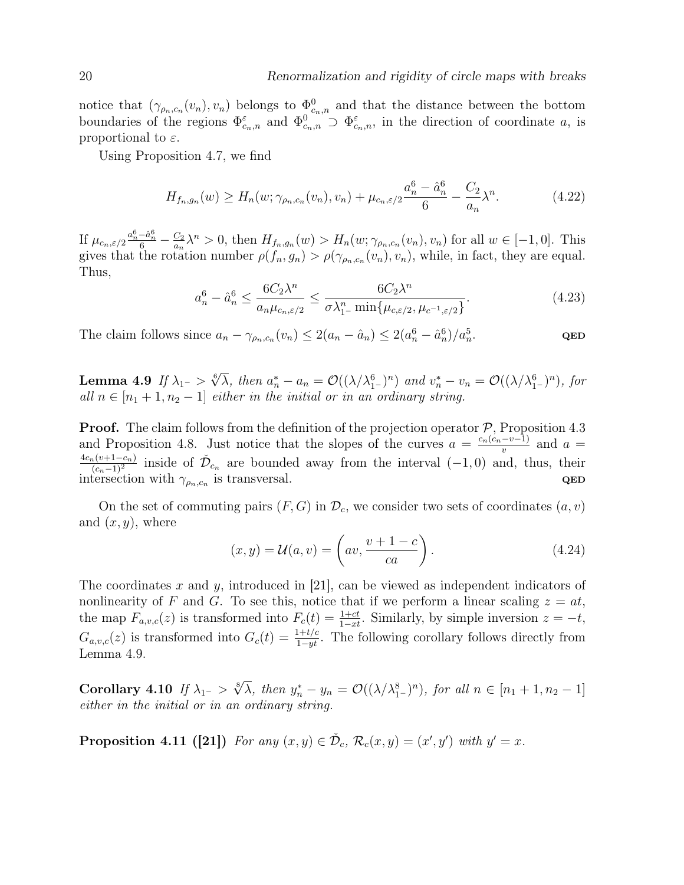notice that  $(\gamma_{\rho_n,c_n}(v_n), v_n)$  belongs to  $\Phi_{c_n,n}^0$  and that the distance between the bottom boundaries of the regions  $\Phi_{c_n,n}^{\varepsilon}$  and  $\Phi_{c_n,n}^0 \supset \Phi_{c_n,n}^{\varepsilon}$ , in the direction of coordinate a, is proportional to  $\varepsilon$ .

Using Proposition 4.7, we find

$$
H_{f_n,g_n}(w) \ge H_n(w; \gamma_{\rho_n,c_n}(v_n), v_n) + \mu_{c_n,\varepsilon/2} \frac{a_n^6 - \hat{a}_n^6}{6} - \frac{C_2}{a_n} \lambda^n.
$$
 (4.22)

If  $\mu_{c_n,\varepsilon/2} \frac{a_n^6 - \hat{a}_n^6}{6} - \frac{C_2}{a_n}$  $\frac{C_2}{a_n}\lambda^n > 0$ , then  $H_{f_n,g_n}(w) > H_n(w; \gamma_{\rho_n,c_n}(v_n), v_n)$  for all  $w \in [-1,0]$ . This gives that the rotation number  $\rho(f_n, g_n) > \rho(\gamma_{\rho_n,c_n}(v_n), v_n)$ , while, in fact, they are equal. Thus,

$$
a_n^6 - \hat{a}_n^6 \le \frac{6C_2\lambda^n}{a_n\mu_{c_n,\varepsilon/2}} \le \frac{6C_2\lambda^n}{\sigma\lambda_{1^-}^n \min\{\mu_{c,\varepsilon/2},\mu_{c^{-1},\varepsilon/2}\}}.\tag{4.23}
$$

The claim follows since  $a_n - \gamma_{\rho_n,c_n}(v_n) \leq 2(a_n - \hat{a}_n) \leq 2(a_n^6 - \hat{a}_n^6)/a_n^5$ . QED

Lemma 4.9 If  $\lambda_{1^-}>$  $\sqrt[6]{\lambda}$ , then  $a_n^* - a_n = \mathcal{O}((\lambda/\lambda_{1-}^6)^n)$  and  $v_n^* - v_n = \mathcal{O}((\lambda/\lambda_{1-}^6)^n)$ , for all  $n \in [n_1 + 1, n_2 - 1]$  either in the initial or in an ordinary string.

**Proof.** The claim follows from the definition of the projection operator  $P$ , Proposition 4.3 and Proposition 4.8. Just notice that the slopes of the curves  $a = \frac{c_n(c_n - v-1)}{n}$  $\frac{-v-1}{v}$  and  $a=$  $4c_n(v+1-c_n)$  $\frac{c_n(v+1-c_n)}{(c_n-1)^2}$  inside of  $\check{\mathcal{D}}_{c_n}$  are bounded away from the interval  $(-1,0)$  and, thus, their intersection with  $\gamma_{\rho_n,c_n}$  is transversal.  $QED$ 

On the set of commuting pairs  $(F, G)$  in  $\mathcal{D}_c$ , we consider two sets of coordinates  $(a, v)$ and  $(x, y)$ , where

$$
(x, y) = \mathcal{U}(a, v) = \left( av, \frac{v + 1 - c}{ca} \right).
$$
 (4.24)

The coordinates x and y, introduced in [21], can be viewed as independent indicators of nonlinearity of F and G. To see this, notice that if we perform a linear scaling  $z = at$ , the map  $F_{a,v,c}(z)$  is transformed into  $F_c(t) = \frac{1+ct}{1-xt}$ . Similarly, by simple inversion  $z = -t$ ,  $G_{a,v,c}(z)$  is transformed into  $G_c(t) = \frac{1+t/c}{1-yt}$ . The following corollary follows directly from Lemma 4.9.

Corollary 4.10 If  $\lambda_{1^-} >$  $\sqrt[8]{\lambda}$ , then  $y_n^* - y_n = \mathcal{O}((\lambda/\lambda_{1-}^8)^n)$ , for all  $n \in [n_1 + 1, n_2 - 1]$ either in the initial or in an ordinary string.

**Proposition 4.11 ([21])** For any  $(x, y) \in \check{\mathcal{D}}_c$ ,  $\mathcal{R}_c(x, y) = (x', y')$  with  $y' = x$ .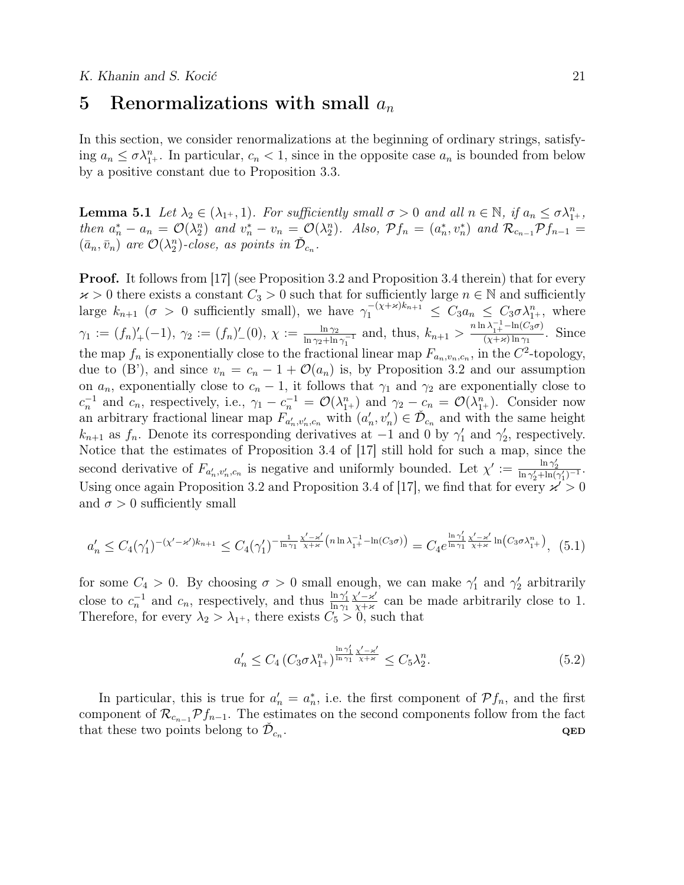### 5 Renormalizations with small  $a_n$

In this section, we consider renormalizations at the beginning of ordinary strings, satisfying  $a_n \leq \sigma \lambda_{1+}^n$ . In particular,  $c_n < 1$ , since in the opposite case  $a_n$  is bounded from below by a positive constant due to Proposition 3.3.

**Lemma 5.1** Let  $\lambda_2 \in (\lambda_{1^+}, 1)$ . For sufficiently small  $\sigma > 0$  and all  $n \in \mathbb{N}$ , if  $a_n \leq \sigma \lambda_{1^+}^n$ , then  $a_n^* - a_n = \mathcal{O}(\lambda_2^n)$  and  $v_n^* - v_n = \mathcal{O}(\lambda_2^n)$ . Also,  $\mathcal{P}f_n = (a_n^*, v_n^*)$  and  $\mathcal{R}_{c_{n-1}}\mathcal{P}f_{n-1} =$  $(\bar{a}_n, \bar{v}_n)$  are  $\mathcal{O}(\lambda_2^n)$ -close, as points in  $\check{\mathcal{D}}_{c_n}$ .

**Proof.** It follows from [17] (see Proposition 3.2 and Proposition 3.4 therein) that for every  $x > 0$  there exists a constant  $C_3 > 0$  such that for sufficiently large  $n \in \mathbb{N}$  and sufficiently large  $k_{n+1}$  ( $\sigma > 0$  sufficiently small), we have  $\gamma_1^{-(\chi + \varkappa)k_{n+1}} \leq C_3 a_n \leq C_3 \sigma \lambda_{1+}^n$ , where  $\gamma_1 := (f_n)'_+(-1), \ \gamma_2 := (f_n)'_-(0), \ \chi := \frac{\ln \gamma_2}{\ln \gamma_2 + \ln \gamma_1}$  $\frac{\ln \gamma_2}{\ln \gamma_2 + \ln \gamma_1^{-1}}$  and, thus,  $k_{n+1} > \frac{n \ln \lambda_1^{-1} - \ln(C_3 \sigma)}{(x + \varkappa) \ln \gamma_1}$  $\frac{N_{1+}}{(\chi+\varkappa)\ln\gamma_1}$ . Since the map  $f_n$  is exponentially close to the fractional linear map  $F_{a_n,v_n,c_n}$ , in the  $C^2$ -topology, due to (B'), and since  $v_n = c_n - 1 + \mathcal{O}(a_n)$  is, by Proposition 3.2 and our assumption on  $a_n$ , exponentially close to  $c_n - 1$ , it follows that  $\gamma_1$  and  $\gamma_2$  are exponentially close to  $c_n^{-1}$  and  $c_n$ , respectively, i.e.,  $\gamma_1 - c_n^{-1} = \mathcal{O}(\lambda_{1+}^n)$  and  $\gamma_2 - c_n = \mathcal{O}(\lambda_{1+}^n)$ . Consider now an arbitrary fractional linear map  $F_{a'_n,v'_n,c_n}$  with  $(a'_n,v'_n) \in \check{\mathcal{D}}_{c_n}$  and with the same height  $k_{n+1}$  as  $f_n$ . Denote its corresponding derivatives at  $-1$  and 0 by  $\gamma'_1$  and  $\gamma'_2$ , respectively. Notice that the estimates of Proposition 3.4 of [17] still hold for such a map, since the second derivative of  $F_{a'_n,v'_n,c_n}$  is negative and uniformly bounded. Let  $\chi' := \frac{\ln \gamma'_2}{\ln \gamma'_2 + \ln(\gamma'_1)^{-1}}$ . Using once again Proposition 3.2 and Proposition 3.4 of [17], we find that for every  $\chi^2 > 0$ and  $\sigma > 0$  sufficiently small

$$
a'_n \le C_4(\gamma'_1)^{-(\chi'-\varkappa')k_{n+1}} \le C_4(\gamma'_1)^{-\frac{1}{\ln\gamma_1}\frac{\chi'-\varkappa'}{\chi+\varkappa}\left(n\ln\lambda_{1}^{-1}-\ln(C_3\sigma)\right)} = C_4e^{\frac{\ln\gamma'_1}{\ln\gamma_1}\frac{\chi'-\varkappa'}{\chi+\varkappa}\ln\left(C_3\sigma\lambda_{1}^n\right)}, (5.1)
$$

for some  $C_4 > 0$ . By choosing  $\sigma > 0$  small enough, we can make  $\gamma'_1$  and  $\gamma'_2$  arbitrarily close to  $c_n^{-1}$  and  $c_n$ , respectively, and thus  $\frac{\ln \gamma_1'}{\ln \gamma_1}$  $\chi'$ - $\kappa'$  $\frac{\chi - \varkappa}{\chi + \varkappa}$  can be made arbitrarily close to 1. Therefore, for every  $\lambda_2 > \lambda_{1+}$ , there exists  $C_5 > 0$ , such that

$$
a'_n \le C_4 \left( C_3 \sigma \lambda_{1+}^n \right)^{\frac{\ln \gamma_1'}{\ln \gamma_1} \frac{\chi' - \varkappa'}{\chi + \varkappa}} \le C_5 \lambda_2^n. \tag{5.2}
$$

In particular, this is true for  $a'_n = a_n^*$ , i.e. the first component of  $Pf_n$ , and the first component of  $\mathcal{R}_{c_{n-1}}\mathcal{P}f_{n-1}$ . The estimates on the second components follow from the fact that these two points belong to  $\check{\mathcal{D}}_{c_n}$ . <br>  $\begin{aligned} \mathbf{QED} \end{aligned}$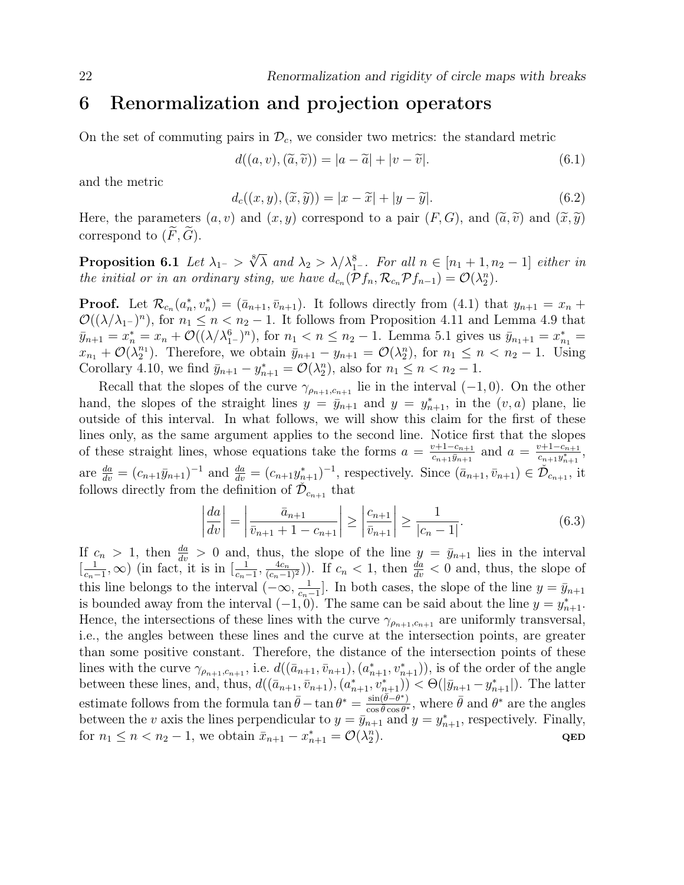# 6 Renormalization and projection operators

On the set of commuting pairs in  $\mathcal{D}_c$ , we consider two metrics: the standard metric

$$
d((a, v), (\tilde{a}, \tilde{v})) = |a - \tilde{a}| + |v - \tilde{v}|.
$$
\n(6.1)

and the metric

$$
d_c((x, y), (\tilde{x}, \tilde{y})) = |x - \tilde{x}| + |y - \tilde{y}|.
$$
\n
$$
(6.2)
$$

Here, the parameters  $(a, v)$  and  $(x, y)$  correspond to a pair  $(F, G)$ , and  $(\tilde{a}, \tilde{v})$  and  $(\tilde{x}, \tilde{y})$ correspond to  $(F, \tilde{G})$ .

Proposition 6.1 Let  $\lambda_{1^-}>$ √8  $\overline{\lambda}$  and  $\lambda_2 > \lambda/\lambda_{1^-}^8$ . For all  $n \in [n_1 + 1, n_2 - 1]$  either in the initial or in an ordinary sting, we have  $d_{c_n}(\mathcal{P} f_n, \mathcal{R}_{c_n} \mathcal{P} f_{n-1}) = \mathcal{O}(\lambda_2^n)$ .

**Proof.** Let  $\mathcal{R}_{c_n}(a_n^*, v_n^*) = (\bar{a}_{n+1}, \bar{v}_{n+1})$ . It follows directly from (4.1) that  $y_{n+1} = x_n +$  $\mathcal{O}((\lambda/\lambda_1-)^n)$ , for  $n_1 \leq n < n_2-1$ . It follows from Proposition 4.11 and Lemma 4.9 that  $\bar{y}_{n+1} = x_n^* = x_n + \mathcal{O}((\lambda/\lambda_{1-}^6)^n)$ , for  $n_1 < n \le n_2 - 1$ . Lemma 5.1 gives us  $\bar{y}_{n_1+1} = x_{n_1}^* =$  $x_{n_1} + \mathcal{O}(\lambda_2^{n_1})$ . Therefore, we obtain  $\bar{y}_{n+1} - y_{n+1} = \mathcal{O}(\lambda_2^n)$ , for  $n_1 \leq n < n_2 - 1$ . Using Corollary 4.10, we find  $\bar{y}_{n+1} - y_{n+1}^* = \mathcal{O}(\lambda_2^n)$ , also for  $n_1 \leq n < n_2 - 1$ .

Recall that the slopes of the curve  $\gamma_{\rho_{n+1},c_{n+1}}$  lie in the interval (−1,0). On the other hand, the slopes of the straight lines  $y = \bar{y}_{n+1}$  and  $y = y_{n+1}^*$ , in the  $(v, a)$  plane, lie outside of this interval. In what follows, we will show this claim for the first of these lines only, as the same argument applies to the second line. Notice first that the slopes of these straight lines, whose equations take the forms  $a = \frac{v+1-c_{n+1}}{c_{n+1}}$  $\frac{c_{n+1}-c_{n+1}}{c_{n+1}\bar{y}_{n+1}}$  and  $a = \frac{v+1-c_{n+1}}{c_{n+1}y_{n+1}^*}$  $\frac{v+1-c_{n+1}}{c_{n+1}y_{n+1}^*},$ are  $\frac{da}{dv} = (c_{n+1}\bar{y}_{n+1})^{-1}$  and  $\frac{da}{dv} = (c_{n+1}y_{n+1}^*)^{-1}$ , respectively. Since  $(\bar{a}_{n+1}, \bar{v}_{n+1}) \in \tilde{\mathcal{D}}_{c_{n+1}}$ , it follows directly from the definition of  $\check{\mathcal{D}}_{c_{n+1}}$  that

$$
\left| \frac{da}{dv} \right| = \left| \frac{\bar{a}_{n+1}}{\bar{v}_{n+1} + 1 - c_{n+1}} \right| \ge \left| \frac{c_{n+1}}{\bar{v}_{n+1}} \right| \ge \frac{1}{|c_n - 1|}. \tag{6.3}
$$

If  $c_n > 1$ , then  $\frac{da}{dv} > 0$  and, thus, the slope of the line  $y = \bar{y}_{n+1}$  lies in the interval  $\left[\frac{1}{c}\right]$  $\frac{1}{c_n-1}$ , ∞) (in fact, it is in  $\left[\frac{1}{c_n-1}\right]$  $\frac{1}{(c_{n}-1)^{2}}$ ,  $\frac{4c_{n}}{(c_{n}-1)^{2}}$ ). If  $c_{n} < 1$ , then  $\frac{da}{dv} < 0$  and, thus, the slope of this line belongs to the interval  $(-\infty, \frac{1}{\epsilon})$  $\frac{1}{c_n-1}$ . In both cases, the slope of the line  $y = \bar{y}_{n+1}$ is bounded away from the interval  $(-1, 0)$ . The same can be said about the line  $y = y_{n+1}^*$ . Hence, the intersections of these lines with the curve  $\gamma_{\rho_{n+1},c_{n+1}}$  are uniformly transversal, i.e., the angles between these lines and the curve at the intersection points, are greater than some positive constant. Therefore, the distance of the intersection points of these lines with the curve  $\gamma_{\rho_{n+1},c_{n+1}}$ , i.e.  $d((\bar{a}_{n+1}, \bar{v}_{n+1}), (a_{n+1}^*, v_{n+1}^*)),$  is of the order of the angle between these lines, and, thus,  $d((\bar{a}_{n+1}, \bar{v}_{n+1}), (a_{n+1}^*, v_{n+1}^*)) < \Theta(|\bar{y}_{n+1} - y_{n+1}^*)$ . The latter estimate follows from the formula  $\tan \bar{\theta} - \tan \theta^* = \frac{\sin(\bar{\theta} - \theta^*)}{\cos \bar{\theta} \cos \theta^*}$  $\frac{\sin(\bar{\theta}-\theta^*)}{\cos \bar{\theta}\cos \theta^*}$ , where  $\bar{\theta}$  and  $\theta^*$  are the angles between the v axis the lines perpendicular to  $y = \bar{y}_{n+1}^*$  and  $y = y_{n+1}^*$ , respectively. Finally, for  $n_1 \leq n < n_2 - 1$ , we obtain  $\bar{x}_{n+1} - x_{n+1}^* = \mathcal{O}(\lambda_2^n)$  $\qquad \qquad \textbf{QED}$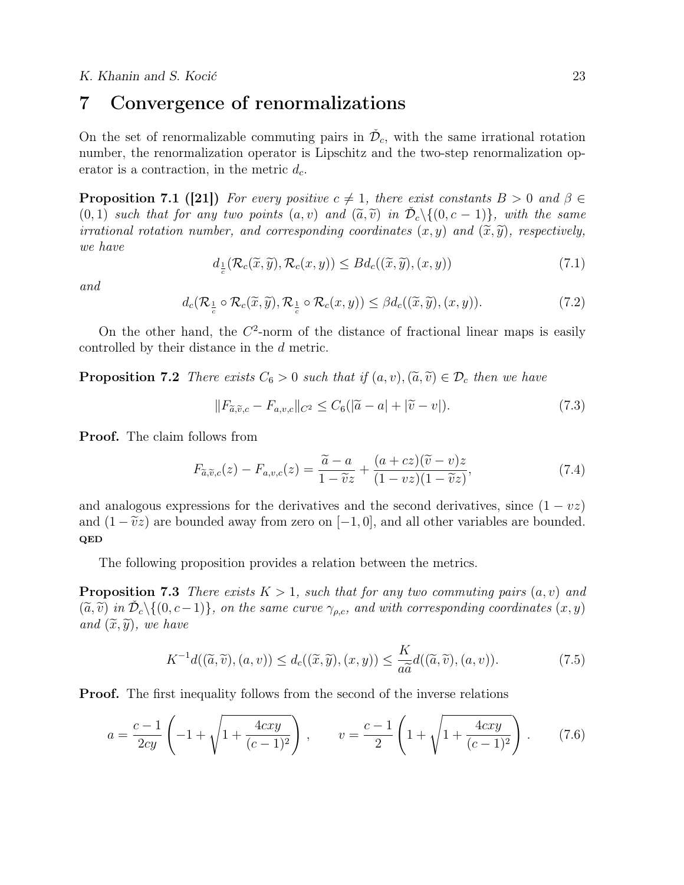# 7 Convergence of renormalizations

On the set of renormalizable commuting pairs in  $\check{\mathcal{D}}_c$ , with the same irrational rotation number, the renormalization operator is Lipschitz and the two-step renormalization operator is a contraction, in the metric  $d_c$ .

**Proposition 7.1 ([21])** For every positive  $c \neq 1$ , there exist constants  $B > 0$  and  $\beta \in$  $(0, 1)$  such that for any two points  $(a, v)$  and  $(\tilde{a}, \tilde{v})$  in  $\check{\mathcal{D}}_c \setminus \{(0, c - 1)\}$ , with the same<br>irrational retation number, and corresponding coordinates  $(x, y)$  and  $(\tilde{x}, \tilde{y})$ , respectively. irrational rotation number, and corresponding coordinates  $(x, y)$  and  $(\tilde{x}, \tilde{y})$ , respectively, we have

$$
d_{\frac{1}{c}}(\mathcal{R}_c(\widetilde{x}, \widetilde{y}), \mathcal{R}_c(x, y)) \leq B d_c((\widetilde{x}, \widetilde{y}), (x, y))
$$
\n(7.1)

and

$$
d_c(\mathcal{R}_{\frac{1}{c}} \circ \mathcal{R}_c(\widetilde{x}, \widetilde{y}), \mathcal{R}_{\frac{1}{c}} \circ \mathcal{R}_c(x, y)) \leq \beta d_c((\widetilde{x}, \widetilde{y}), (x, y)).\tag{7.2}
$$

On the other hand, the  $C^2$ -norm of the distance of fractional linear maps is easily controlled by their distance in the d metric.

**Proposition 7.2** There exists  $C_6 > 0$  such that if  $(a, v), (\tilde{a}, \tilde{v}) \in \mathcal{D}_c$  then we have

$$
||F_{\widetilde{a},\widetilde{v},c} - F_{a,v,c}||_{C^2} \leq C_6(|\widetilde{a} - a| + |\widetilde{v} - v|). \tag{7.3}
$$

Proof. The claim follows from

$$
F_{\tilde{a},\tilde{v},c}(z) - F_{a,v,c}(z) = \frac{\tilde{a} - a}{1 - \tilde{v}z} + \frac{(a + cz)(\tilde{v} - v)z}{(1 - vz)(1 - \tilde{v}z)},
$$
\n(7.4)

and analogous expressions for the derivatives and the second derivatives, since  $(1 - vz)$ and  $(1 - \tilde{v}z)$  are bounded away from zero on  $[-1, 0]$ , and all other variables are bounded. QED

The following proposition provides a relation between the metrics.

**Proposition 7.3** There exists  $K > 1$ , such that for any two commuting pairs  $(a, v)$  and  $(\widetilde{a}, \widetilde{v})$  in  $\check{\mathcal{D}}_c \setminus \{(0, c-1)\}\$ , on the same curve  $\gamma_{\rho,c}$ , and with corresponding coordinates  $(x, y)$ and  $(\widetilde{x}, \widetilde{y})$ , we have

$$
K^{-1}d((\widetilde{a},\widetilde{v}), (a,v)) \le d_c((\widetilde{x},\widetilde{y}), (x,y)) \le \frac{K}{a\widetilde{a}}d((\widetilde{a},\widetilde{v}), (a,v)).
$$
\n(7.5)

Proof. The first inequality follows from the second of the inverse relations

$$
a = \frac{c-1}{2cy} \left( -1 + \sqrt{1 + \frac{4cxy}{(c-1)^2}} \right), \qquad v = \frac{c-1}{2} \left( 1 + \sqrt{1 + \frac{4cxy}{(c-1)^2}} \right). \tag{7.6}
$$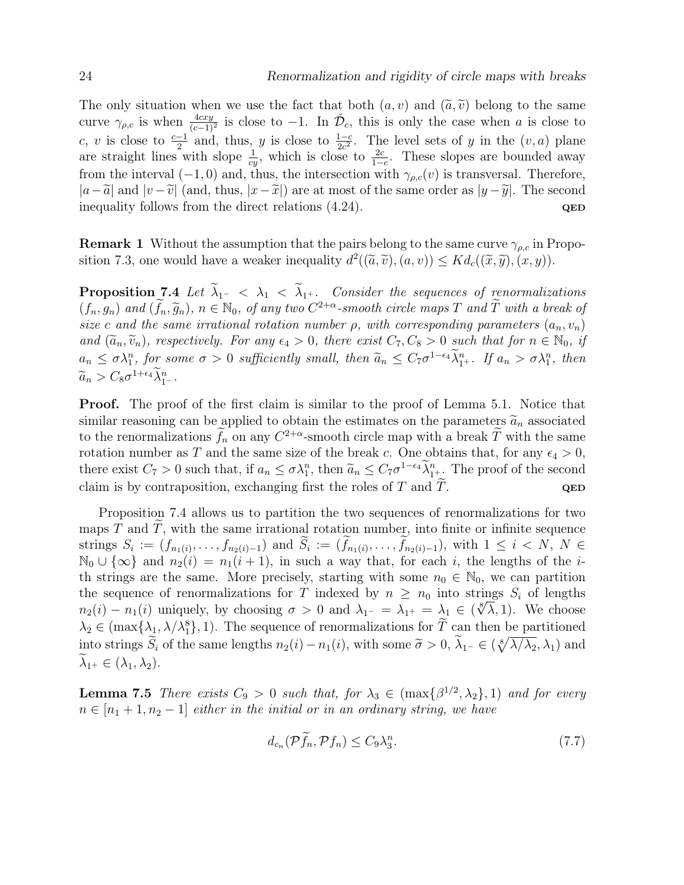The only situation when we use the fact that both  $(a, v)$  and  $(\tilde{a}, \tilde{v})$  belong to the same curve  $\gamma_{\rho,c}$  is when  $\frac{4cxy}{(c-1)^2}$  is close to  $-1$ . In  $\check{\mathcal{D}}_c$ , this is only the case when a is close to c, v is close to  $\frac{c-1}{2}$  and, thus, y is close to  $\frac{1-c}{2c^2}$ . The level sets of y in the  $(v, a)$  plane are straight lines with slope  $\frac{1}{cy}$ , which is close to  $\frac{2c}{1-c}$ . These slopes are bounded away from the interval (−1, 0) and, thus, the intersection with  $\gamma_{\rho,c}(v)$  is transversal. Therefore,  $|a-\tilde{a}|$  and  $|v-\tilde{v}|$  (and, thus,  $|x-\tilde{x}|$ ) are at most of the same order as  $|y-\tilde{y}|$ . The second inequality follows from the direct relations (4.24). inequality follows from the direct relations  $(4.24)$ .

**Remark 1** Without the assumption that the pairs belong to the same curve  $\gamma_{\rho,c}$  in Proposition 7.3, one would have a weaker inequality  $d^2((\tilde{a}, \tilde{v}), (a, v)) \leq K d_c((\tilde{x}, \tilde{y}), (x, y)).$ 

Proposition 7.4 Let  $\lambda_1 < \lambda_1 < \lambda_1$ . Consider the sequences of renormalizations  $(f_n, g_n)$  and  $(\tilde{f}_n, \tilde{g}_n)$ ,  $n \in \mathbb{N}_0$ , of any two  $C^{2+\alpha}$ -smooth circle maps T and  $\tilde{T}$  with a break of size c and the same irrational retation number a suith corresponding narameters  $(a, y)$ size c and the same irrational rotation number  $\rho$ , with corresponding parameters  $(a_n, v_n)$ and  $(\tilde{a}_n, \tilde{v}_n)$ , respectively. For any  $\epsilon_4 > 0$ , there exist  $C_7, C_8 > 0$  such that for  $n \in \mathbb{N}_0$ , if  $a_n \leq \sigma \lambda_1^n$ , for some  $\sigma > 0$  sufficiently small, then  $\widetilde{a}_n \leq C_7 \sigma^{1-\epsilon_4} \lambda_1^n$ . If  $a_n > \sigma \lambda_1^n$ , then  $\widetilde{a}_n > C_8 \sigma^{1+\epsilon_4} \widetilde{\lambda}_{1}^n$ .

Proof. The proof of the first claim is similar to the proof of Lemma 5.1. Notice that similar reasoning can be applied to obtain the estimates on the parameters  $\tilde{a}_n$  associated to the renormalizations  $f_n$  on any  $C^{2+\alpha}$ -smooth circle map with a break T with the same rotation number as T and the same size of the break c. One obtains that, for any  $\epsilon_4 > 0$ , there exist  $C_7 > 0$  such that, if  $a_n \leq \sigma \lambda_1^n$ , then  $\widetilde{a}_n \leq C_7 \sigma^{1-\epsilon_4} \widetilde{\lambda}_1^n$ . The proof of the second claim is by contraposition, exchanging first the roles of T and  $\tilde{T}$ .

Proposition 7.4 allows us to partition the two sequences of renormalizations for two maps  $T$  and  $T$ , with the same irrational rotation number, into finite or infinite sequence strings  $S_i := (f_{n_1(i)}, \ldots, f_{n_2(i)-1})$  and  $S_i := (f_{n_1(i)}, \ldots, f_{n_2(i)-1})$ , with  $1 \leq i \leq N, N \in \mathbb{N}$  $\mathbb{N}_0 \cup \{\infty\}$  and  $n_2(i) = n_1(i + 1)$ , in such a way that, for each i, the lengths of the ith strings are the same. More precisely, starting with some  $n_0 \in \mathbb{N}_0$ , we can partition the sequence of renormalizations for T indexed by  $n \geq n_0$  into strings  $S_i$  of lengths  $n_2(i) - n_1(i)$  uniquely, by choosing  $\sigma > 0$  and  $\lambda_{1^-} = \lambda_{1^+} = \lambda_1 \in (\sqrt[8]{\lambda}, 1)$ . We choose  $\lambda_2 \in (\max\{\lambda_1, \lambda/\lambda_1^8\}, 1)$ . The sequence of renormalizations for  $T$  can then be partitioned into strings  $\widetilde{S}_i$  of the same lengths  $n_2(i) - n_1(i)$ , with some  $\widetilde{\sigma} > 0$ ,  $\widetilde{\lambda}_{1^-} \in (\sqrt[8]{\lambda/\lambda_2}, \lambda_1)$  and  $\lambda_{1^+} \in (\lambda_1, \lambda_2).$ 

**Lemma 7.5** There exists  $C_9 > 0$  such that, for  $\lambda_3 \in (\max\{\beta^{1/2}, \lambda_2\}, 1)$  and for every  $n \in [n_1 + 1, n_2 - 1]$  either in the initial or in an ordinary string, we have

$$
d_{c_n}(\mathcal{P}\tilde{f}_n, \mathcal{P}f_n) \le C_9 \lambda_3^n. \tag{7.7}
$$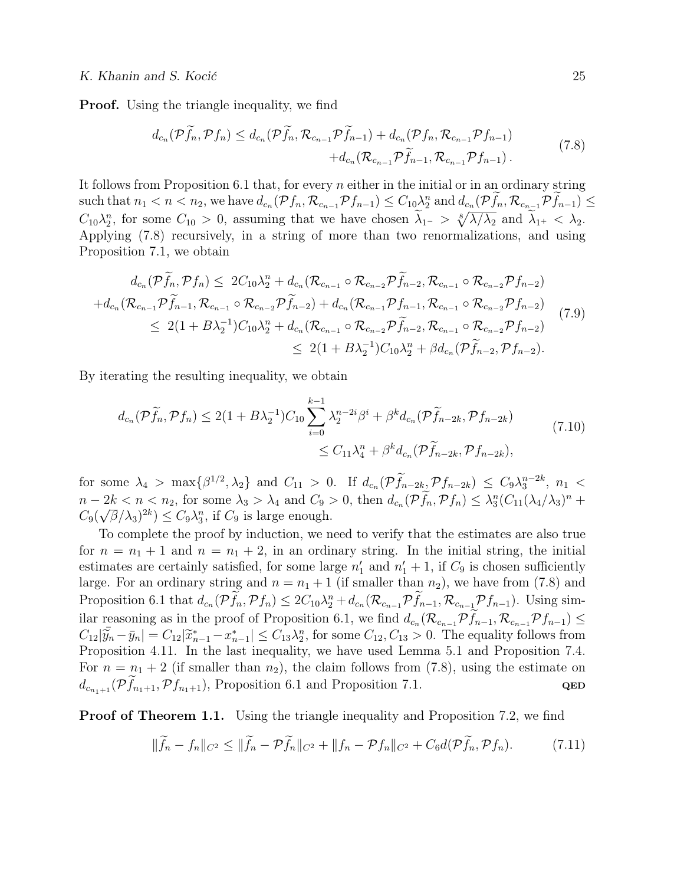**Proof.** Using the triangle inequality, we find

$$
d_{c_n}(\mathcal{P}\widetilde{f}_n, \mathcal{P}f_n) \leq d_{c_n}(\mathcal{P}\widetilde{f}_n, \mathcal{R}_{c_{n-1}}\mathcal{P}\widetilde{f}_{n-1}) + d_{c_n}(\mathcal{P}f_n, \mathcal{R}_{c_{n-1}}\mathcal{P}f_{n-1})
$$
  
+
$$
d_{c_n}(\mathcal{R}_{c_{n-1}}\mathcal{P}\widetilde{f}_{n-1}, \mathcal{R}_{c_{n-1}}\mathcal{P}f_{n-1}).
$$
\n(7.8)

It follows from Proposition 6.1 that, for every  $n$  either in the initial or in an ordinary string such that  $n_1 < n < n_2$ , we have  $d_{c_n}(\mathcal{P} f_n, \mathcal{R}_{c_{n-1}} \mathcal{P} f_{n-1}) \leq C_{10} \lambda_2^n$  and  $d_{c_n}(\mathcal{P} f_n, \mathcal{R}_{c_{n-1}} \mathcal{P} f_{n-1}) \leq C_{10} \lambda_2^n$  $C_{10}\lambda_2^n$ , for some  $C_{10} > 0$ , assuming that we have chosen  $\lambda_1 > \sqrt[8]{\lambda/\lambda_2}$  and  $\lambda_1 < \lambda_2$ . Applying (7.8) recursively, in a string of more than two renormalizations, and using Proposition 7.1, we obtain

$$
d_{c_n}(\mathcal{P}\tilde{f}_n, \mathcal{P}f_n) \leq 2C_{10}\lambda_2^n + d_{c_n}(\mathcal{R}_{c_{n-1}} \circ \mathcal{R}_{c_{n-2}}\mathcal{P}\tilde{f}_{n-2}, \mathcal{R}_{c_{n-1}} \circ \mathcal{R}_{c_{n-2}}\mathcal{P}f_{n-2})
$$
  
+
$$
d_{c_n}(\mathcal{R}_{c_{n-1}}\mathcal{P}\tilde{f}_{n-1}, \mathcal{R}_{c_{n-1}} \circ \mathcal{R}_{c_{n-2}}\mathcal{P}\tilde{f}_{n-2}) + d_{c_n}(\mathcal{R}_{c_{n-1}}\mathcal{P}f_{n-1}, \mathcal{R}_{c_{n-1}} \circ \mathcal{R}_{c_{n-2}}\mathcal{P}f_{n-2})
$$
  

$$
\leq 2(1 + B\lambda_2^{-1})C_{10}\lambda_2^n + d_{c_n}(\mathcal{R}_{c_{n-1}} \circ \mathcal{R}_{c_{n-2}}\mathcal{P}\tilde{f}_{n-2}, \mathcal{R}_{c_{n-1}} \circ \mathcal{R}_{c_{n-2}}\mathcal{P}f_{n-2})
$$
  

$$
\leq 2(1 + B\lambda_2^{-1})C_{10}\lambda_2^n + \beta d_{c_n}(\mathcal{P}\tilde{f}_{n-2}, \mathcal{P}f_{n-2}).
$$
 (7.9)

By iterating the resulting inequality, we obtain

$$
d_{c_n}(\mathcal{P}\tilde{f}_n, \mathcal{P}f_n) \le 2(1 + B\lambda_2^{-1})C_{10} \sum_{i=0}^{k-1} \lambda_2^{n-2i} \beta^i + \beta^k d_{c_n}(\mathcal{P}\tilde{f}_{n-2k}, \mathcal{P}f_{n-2k})
$$
  
 
$$
\le C_{11}\lambda_4^n + \beta^k d_{c_n}(\mathcal{P}\tilde{f}_{n-2k}, \mathcal{P}f_{n-2k}),
$$
 (7.10)

for some  $\lambda_4 > \max\{\beta^{1/2}, \lambda_2\}$  and  $C_{11} > 0$ . If  $d_{c_n}(\mathcal{P}\tilde{f}_{n-2k}, \mathcal{P}f_{n-2k}) \leq C_9 \lambda_3^{n-2k}$ ,  $n_1 <$  $n-2k < n < n_2$ , for some  $\lambda_3 > \lambda_4$  and  $C_9 > 0$ , then  $d_{c_n}(\mathcal{P}f_n, \mathcal{P}f_n) \leq \lambda_3^n (C_{11}(\lambda_4/\lambda_3)^n + C_{12}(\lambda_3/\lambda_3)^n)$  $C_9(\sqrt{\beta}/\lambda_3)^{2k}) \leq C_9\lambda_3^n$ , if  $C_9$  is large enough.

To complete the proof by induction, we need to verify that the estimates are also true for  $n = n_1 + 1$  and  $n = n_1 + 2$ , in an ordinary string. In the initial string, the initial estimates are certainly satisfied, for some large  $n'_1$  and  $n'_1 + 1$ , if  $C_9$  is chosen sufficiently large. For an ordinary string and  $n = n_1 + 1$  (if smaller than  $n_2$ ), we have from (7.8) and Proposition 6.1 that  $d_{c_n}(\mathcal{P}f_n, \mathcal{P}f_n) \leq 2C_{10}\lambda_2^n + d_{c_n}(\mathcal{R}_{c_{n-1}}\mathcal{P}f_{n-1}, \mathcal{R}_{c_{n-1}}\mathcal{P}f_{n-1})$ . Using similar reasoning as in the proof of Proposition 6.1, we find  $d_{c_n}(\mathcal{R}_{c_{n-1}}\mathcal{P}f_{n-1}, \mathcal{R}_{c_{n-1}}\mathcal{P}f_{n-1}) \leq$  $C_{12}|\tilde{y}_n - \bar{y}_n| = C_{12}|\tilde{x}_{n-1}^* - x_{n-1}^*| \leq C_{13}\lambda_2^n$ , for some  $C_{12}, C_{13} > 0$ . The equality follows from Proposition 4.11. In the last inequality, we have used Lemma 5.1 and Proposition 7.4. For  $n = n_1 + 2$  (if smaller than  $n_2$ ), the claim follows from (7.8), using the estimate on  $d_{c_{n_1+1}}(\mathcal{P}f_{n_1+1},\mathcal{P}f_{n_1+1}),$  Proposition 6.1 and Proposition 7.1. QED

**Proof of Theorem 1.1.** Using the triangle inequality and Proposition 7.2, we find

$$
\|\widetilde{f}_n - f_n\|_{C^2} \le \|\widetilde{f}_n - \mathcal{P}\widetilde{f}_n\|_{C^2} + \|f_n - \mathcal{P}f_n\|_{C^2} + C_6 d(\mathcal{P}\widetilde{f}_n, \mathcal{P}f_n). \tag{7.11}
$$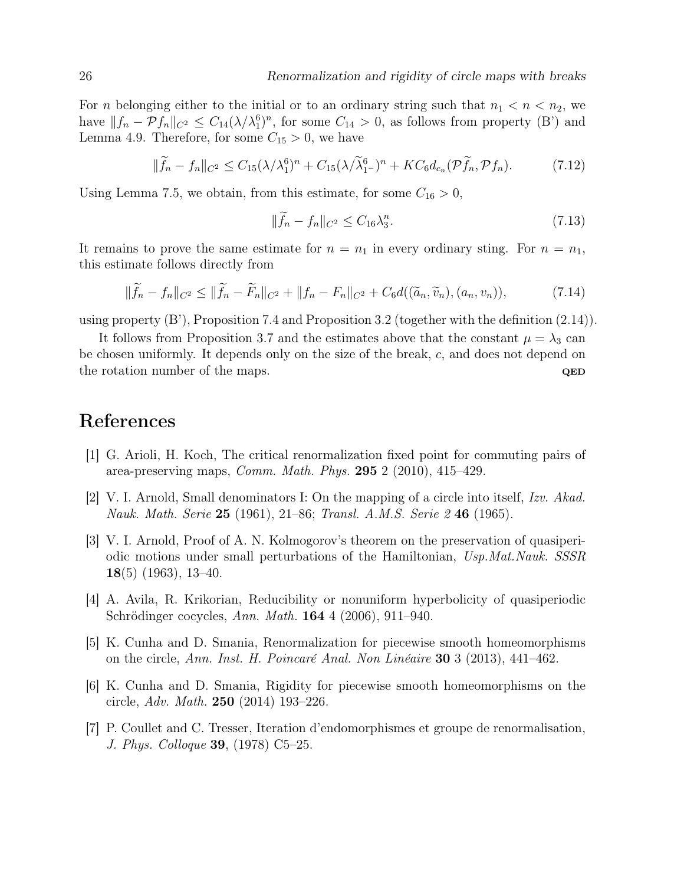For *n* belonging either to the initial or to an ordinary string such that  $n_1 < n < n_2$ , we have  $||f_n - Pf_n||_{C^2} \leq C_{14} (\lambda/\lambda_1^6)^n$ , for some  $C_{14} > 0$ , as follows from property (B') and Lemma 4.9. Therefore, for some  $C_{15} > 0$ , we have

$$
\|\widetilde{f}_n - f_n\|_{C^2} \le C_{15} (\lambda/\lambda_1^6)^n + C_{15} (\lambda/\widetilde{\lambda}_1^6)^n + KC_6 d_{c_n} (\mathcal{P}\widetilde{f}_n, \mathcal{P}f_n). \tag{7.12}
$$

Using Lemma 7.5, we obtain, from this estimate, for some  $C_{16} > 0$ ,

$$
\|\widetilde{f}_n - f_n\|_{C^2} \le C_{16}\lambda_3^n. \tag{7.13}
$$

It remains to prove the same estimate for  $n = n_1$  in every ordinary sting. For  $n = n_1$ , this estimate follows directly from

$$
\|\widetilde{f}_n - f_n\|_{C^2} \le \|\widetilde{f}_n - \widetilde{F}_n\|_{C^2} + \|f_n - F_n\|_{C^2} + C_6d((\widetilde{a}_n, \widetilde{v}_n), (a_n, v_n)),\tag{7.14}
$$

using property (B'), Proposition 7.4 and Proposition 3.2 (together with the definition (2.14)).

It follows from Proposition 3.7 and the estimates above that the constant  $\mu = \lambda_3$  can be chosen uniformly. It depends only on the size of the break, c, and does not depend on the rotation number of the maps.  $QED$ 

# References

- [1] G. Arioli, H. Koch, The critical renormalization fixed point for commuting pairs of area-preserving maps, Comm. Math. Phys. 295 2 (2010), 415–429.
- [2] V. I. Arnold, Small denominators I: On the mapping of a circle into itself, Izv. Akad. Nauk. Math. Serie 25 (1961), 21–86; Transl. A.M.S. Serie 2 46 (1965).
- [3] V. I. Arnold, Proof of A. N. Kolmogorov's theorem on the preservation of quasiperiodic motions under small perturbations of the Hamiltonian, Usp.Mat.Nauk. SSSR 18(5) (1963), 13-40.
- [4] A. Avila, R. Krikorian, Reducibility or nonuniform hyperbolicity of quasiperiodic Schrödinger cocycles, Ann. Math. 164 4 (2006), 911–940.
- [5] K. Cunha and D. Smania, Renormalization for piecewise smooth homeomorphisms on the circle, Ann. Inst. H. Poincaré Anal. Non Linéaire 30 3 (2013), 441–462.
- [6] K. Cunha and D. Smania, Rigidity for piecewise smooth homeomorphisms on the circle, Adv. Math. 250 (2014) 193–226.
- [7] P. Coullet and C. Tresser, Iteration d'endomorphismes et groupe de renormalisation, J. Phys. Colloque 39, (1978) C5–25.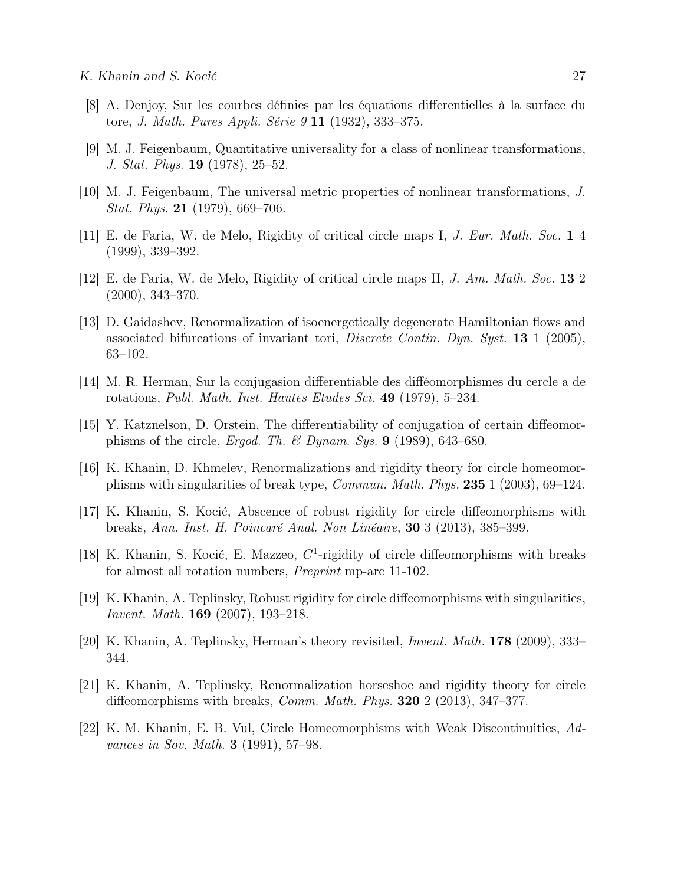- [8] A. Denjoy, Sur les courbes définies par les équations differentielles à la surface du tore, J. Math. Pures Appli. Série 9 11 (1932), 333–375.
- [9] M. J. Feigenbaum, Quantitative universality for a class of nonlinear transformations, J. Stat. Phys. 19 (1978), 25–52.
- [10] M. J. Feigenbaum, The universal metric properties of nonlinear transformations, J. *Stat. Phys.* **21** (1979), 669–706.
- [11] E. de Faria, W. de Melo, Rigidity of critical circle maps I, J. Eur. Math. Soc. 1 4 (1999), 339–392.
- [12] E. de Faria, W. de Melo, Rigidity of critical circle maps II, J. Am. Math. Soc. 13 2 (2000), 343–370.
- [13] D. Gaidashev, Renormalization of isoenergetically degenerate Hamiltonian flows and associated bifurcations of invariant tori, *Discrete Contin. Dyn. Syst.* **13** 1 (2005), 63–102.
- [14] M. R. Herman, Sur la conjugasion differentiable des difféomorphismes du cercle a de rotations, Publ. Math. Inst. Hautes Etudes Sci. 49 (1979), 5–234.
- [15] Y. Katznelson, D. Orstein, The differentiability of conjugation of certain diffeomorphisms of the circle, Ergod. Th. & Dynam. Sys.  $9$  (1989), 643–680.
- [16] K. Khanin, D. Khmelev, Renormalizations and rigidity theory for circle homeomorphisms with singularities of break type, Commun. Math. Phys. 235 1 (2003), 69–124.
- [17] K. Khanin, S. Kocić, Abscence of robust rigidity for circle diffeomorphisms with breaks, Ann. Inst. H. Poincaré Anal. Non Linéaire, 30 3 (2013), 385–399.
- [18] K. Khanin, S. Kocić, E. Mazzeo,  $C<sup>1</sup>$ -rigidity of circle diffeomorphisms with breaks for almost all rotation numbers, Preprint mp-arc 11-102.
- [19] K. Khanin, A. Teplinsky, Robust rigidity for circle diffeomorphisms with singularities, Invent. Math. 169 (2007), 193–218.
- [20] K. Khanin, A. Teplinsky, Herman's theory revisited, Invent. Math. 178 (2009), 333– 344.
- [21] K. Khanin, A. Teplinsky, Renormalization horseshoe and rigidity theory for circle diffeomorphisms with breaks, *Comm. Math. Phys.* **320** 2 (2013), 347–377.
- [22] K. M. Khanin, E. B. Vul, Circle Homeomorphisms with Weak Discontinuities, Advances in Sov. Math. **3** (1991), 57–98.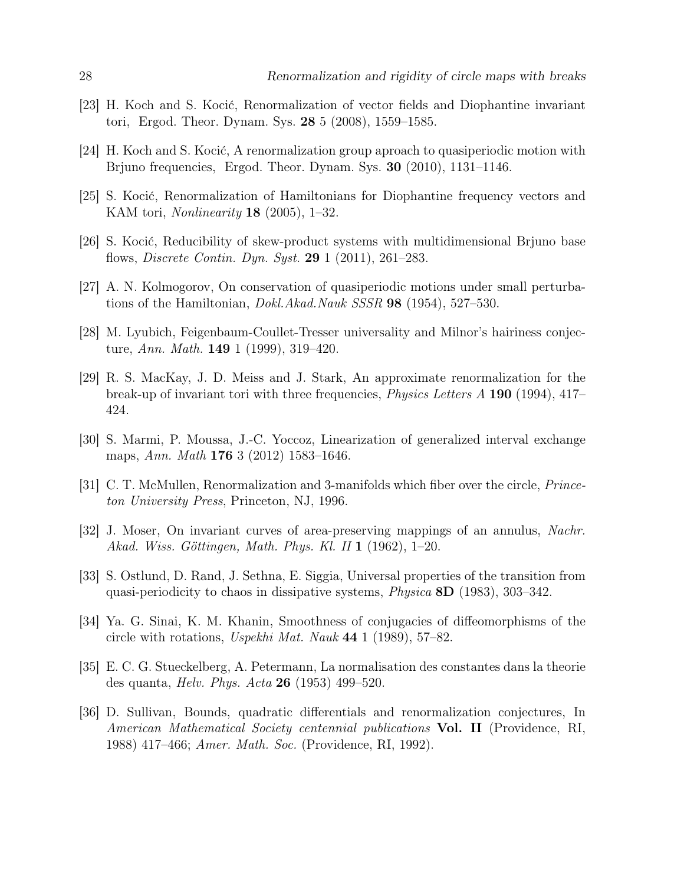- [23] H. Koch and S. Kocić, Renormalization of vector fields and Diophantine invariant tori, Ergod. Theor. Dynam. Sys. 28 5 (2008), 1559–1585.
- [24] H. Koch and S. Kocić, A renormalization group aproach to quasiperiodic motion with Brjuno frequencies, Ergod. Theor. Dynam. Sys. 30 (2010), 1131–1146.
- [25] S. Kocić, Renormalization of Hamiltonians for Diophantine frequency vectors and KAM tori, Nonlinearity 18 (2005), 1–32.
- [26] S. Kocić, Reducibility of skew-product systems with multidimensional Brjuno base flows, Discrete Contin. Dyn. Syst. 29 1 (2011), 261–283.
- [27] A. N. Kolmogorov, On conservation of quasiperiodic motions under small perturbations of the Hamiltonian, Dokl.Akad.Nauk SSSR 98 (1954), 527–530.
- [28] M. Lyubich, Feigenbaum-Coullet-Tresser universality and Milnor's hairiness conjecture, Ann. Math. 149 1 (1999), 319–420.
- [29] R. S. MacKay, J. D. Meiss and J. Stark, An approximate renormalization for the break-up of invariant tori with three frequencies, Physics Letters A 190 (1994), 417– 424.
- [30] S. Marmi, P. Moussa, J.-C. Yoccoz, Linearization of generalized interval exchange maps, Ann. Math 176 3 (2012) 1583–1646.
- [31] C. T. McMullen, Renormalization and 3-manifolds which fiber over the circle, Princeton University Press, Princeton, NJ, 1996.
- [32] J. Moser, On invariant curves of area-preserving mappings of an annulus, Nachr. Akad. Wiss. Göttingen, Math. Phys. Kl. II 1 (1962), 1–20.
- [33] S. Ostlund, D. Rand, J. Sethna, E. Siggia, Universal properties of the transition from quasi-periodicity to chaos in dissipative systems, *Physica*  $8D$  (1983), 303–342.
- [34] Ya. G. Sinai, K. M. Khanin, Smoothness of conjugacies of diffeomorphisms of the circle with rotations, Uspekhi Mat. Nauk 44 1 (1989), 57–82.
- [35] E. C. G. Stueckelberg, A. Petermann, La normalisation des constantes dans la theorie des quanta, Helv. Phys. Acta 26 (1953) 499–520.
- [36] D. Sullivan, Bounds, quadratic differentials and renormalization conjectures, In American Mathematical Society centennial publications **Vol. II** (Providence, RI, 1988) 417–466; Amer. Math. Soc. (Providence, RI, 1992).